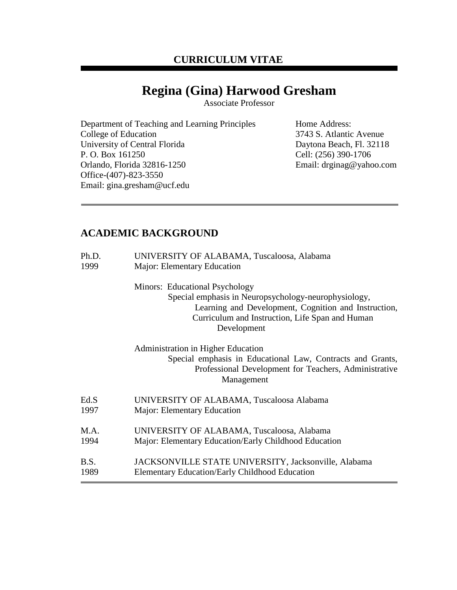# **Regina (Gina) Harwood Gresham**

Associate Professor

Department of Teaching and Learning Principles Home Address: College of Education 3743 S. Atlantic Avenue University of Central Florida Daytona Beach, Fl. 32118 P. O. Box 161250<br>
Orlando, Florida 32816-1250<br>
Email: drginag@yaho Office-(407)-823-3550 Email: gina.gresham@ucf.edu

Email: drginag@yahoo.com

# **ACADEMIC BACKGROUND**

| Ph.D. | UNIVERSITY OF ALABAMA, Tuscaloosa, Alabama                                                                                                                                                                       |  |
|-------|------------------------------------------------------------------------------------------------------------------------------------------------------------------------------------------------------------------|--|
| 1999  | Major: Elementary Education                                                                                                                                                                                      |  |
|       | Minors: Educational Psychology<br>Special emphasis in Neuropsychology-neurophysiology,<br>Learning and Development, Cognition and Instruction,<br>Curriculum and Instruction, Life Span and Human<br>Development |  |
|       | Administration in Higher Education<br>Special emphasis in Educational Law, Contracts and Grants,<br>Professional Development for Teachers, Administrative<br>Management                                          |  |
| Ed.S  | UNIVERSITY OF ALABAMA, Tuscaloosa Alabama                                                                                                                                                                        |  |
| 1997  | Major: Elementary Education                                                                                                                                                                                      |  |
| M.A.  | UNIVERSITY OF ALABAMA, Tuscaloosa, Alabama                                                                                                                                                                       |  |
| 1994  | Major: Elementary Education/Early Childhood Education                                                                                                                                                            |  |
| B.S.  | JACKSONVILLE STATE UNIVERSITY, Jacksonville, Alabama                                                                                                                                                             |  |
| 1989  | <b>Elementary Education/Early Childhood Education</b>                                                                                                                                                            |  |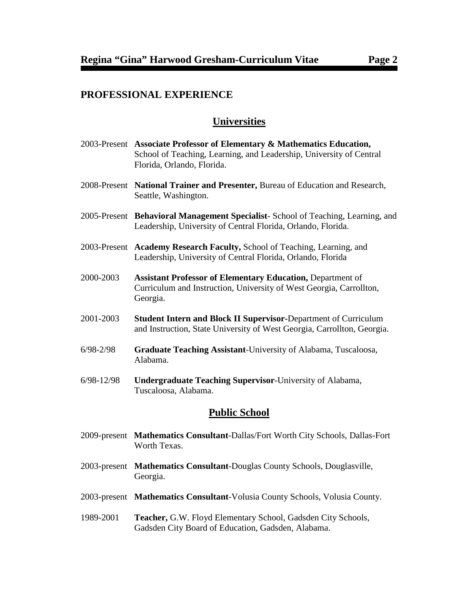# **PROFESSIONAL EXPERIENCE**

# **Universities**

- 2003-Present **Associate Professor of Elementary & Mathematics Education,**  School of Teaching, Learning, and Leadership, University of Central Florida, Orlando, Florida. 2008-Present **National Trainer and Presenter,** Bureau of Education and Research, Seattle, Washington. 2005-Present **Behavioral Management Specialist**- School of Teaching, Learning, and Leadership, University of Central Florida, Orlando, Florida. 2003-Present **Academy Research Faculty,** School of Teaching, Learning, and Leadership, University of Central Florida, Orlando, Florida 2000-2003 **Assistant Professor of Elementary Education,** Department of Curriculum and Instruction, University of West Georgia, Carrollton, Georgia. 2001-2003 **Student Intern and Block II Supervisor-**Department of Curriculum and Instruction, State University of West Georgia, Carrollton, Georgia. 6/98-2/98 **Graduate Teaching Assistant**-University of Alabama, Tuscaloosa, Alabama. 6/98-12/98 **Undergraduate Teaching Supervisor**-University of Alabama, Tuscaloosa, Alabama. **Public School**
- 2009-present **Mathematics Consultant**-Dallas/Fort Worth City Schools, Dallas-Fort Worth Texas.
- 2003-present **Mathematics Consultant**-Douglas County Schools, Douglasville, Georgia.
- 2003-present **Mathematics Consultant**-Volusia County Schools, Volusia County.
- 1989-2001 **Teacher,** G.W. Floyd Elementary School, Gadsden City Schools, Gadsden City Board of Education, Gadsden, Alabama.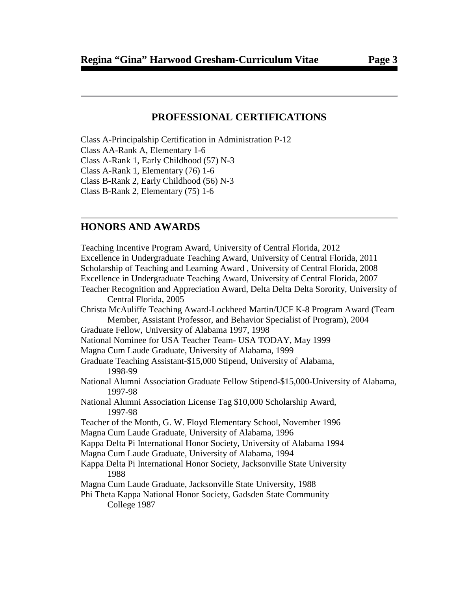### **PROFESSIONAL CERTIFICATIONS**

Class A-Principalship Certification in Administration P-12 Class AA-Rank A, Elementary 1-6 Class A-Rank 1, Early Childhood (57) N-3 Class A-Rank 1, Elementary (76) 1-6 Class B-Rank 2, Early Childhood (56) N-3 Class B-Rank 2, Elementary (75) 1-6

# **HONORS AND AWARDS**

Teaching Incentive Program Award, University of Central Florida, 2012 Excellence in Undergraduate Teaching Award, University of Central Florida, 2011 Scholarship of Teaching and Learning Award , University of Central Florida, 2008 Excellence in Undergraduate Teaching Award, University of Central Florida, 2007 Teacher Recognition and Appreciation Award, Delta Delta Delta Sorority, University of Central Florida, 2005 Christa McAuliffe Teaching Award-Lockheed Martin/UCF K-8 Program Award (Team Member, Assistant Professor, and Behavior Specialist of Program), 2004 Graduate Fellow, University of Alabama 1997, 1998 National Nominee for USA Teacher Team- USA TODAY, May 1999 Magna Cum Laude Graduate, University of Alabama, 1999 Graduate Teaching Assistant-\$15,000 Stipend, University of Alabama, 1998-99 National Alumni Association Graduate Fellow Stipend-\$15,000-University of Alabama, 1997-98 National Alumni Association License Tag \$10,000 Scholarship Award, 1997-98 Teacher of the Month, G. W. Floyd Elementary School, November 1996 Magna Cum Laude Graduate, University of Alabama, 1996 Kappa Delta Pi International Honor Society, University of Alabama 1994 Magna Cum Laude Graduate, University of Alabama, 1994 Kappa Delta Pi International Honor Society, Jacksonville State University 1988 Magna Cum Laude Graduate, Jacksonville State University, 1988 Phi Theta Kappa National Honor Society, Gadsden State Community College 1987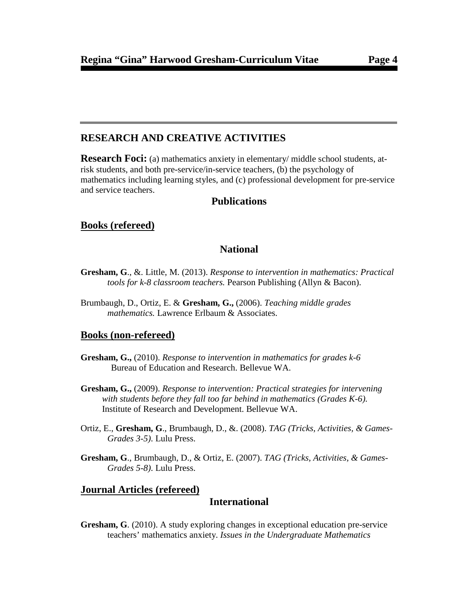# **RESEARCH AND CREATIVE ACTIVITIES**

**Research Foci:** (a) mathematics anxiety in elementary/ middle school students, atrisk students, and both pre-service/in-service teachers, (b) the psychology of mathematics including learning styles, and (c) professional development for pre-service and service teachers.

# **Publications**

# **Books (refereed)**

# **National**

- **Gresham, G**., &. Little, M. (2013). *Response to intervention in mathematics: Practical tools for k-8 classroom teachers.* Pearson Publishing (Allyn & Bacon).
- Brumbaugh, D., Ortiz, E. & **Gresham, G.,** (2006). *Teaching middle grades mathematics.* Lawrence Erlbaum & Associates.

# **Books (non-refereed)**

- **Gresham, G.,** (2010). *Response to intervention in mathematics for grades k-6* Bureau of Education and Research. Bellevue WA.
- **Gresham, G.,** (2009). *Response to intervention: Practical strategies for intervening with students before they fall too far behind in mathematics (Grades K-6).* Institute of Research and Development. Bellevue WA.
- Ortiz, E., **Gresham, G**., Brumbaugh, D., &. (2008). *TAG (Tricks, Activities, & Games-Grades 3-5)*. Lulu Press.
- **Gresham, G**., Brumbaugh, D., & Ortiz, E. (2007). *TAG (Tricks, Activities, & Games-Grades 5-8)*. Lulu Press.

# **Journal Articles (refereed)**

# **International**

**Gresham, G**. (2010). A study exploring changes in exceptional education pre-service teachers' mathematics anxiety. *Issues in the Undergraduate Mathematics*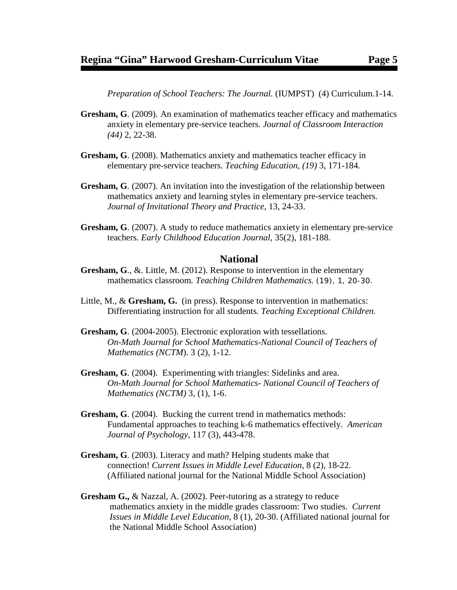*Preparation of School Teachers: The Journal.* (IUMPST) (4) Curriculum.1-14.

- **Gresham, G**. (2009). An examination of mathematics teacher efficacy and mathematics anxiety in elementary pre-service teachers. *Journal of Classroom Interaction (44)* 2, 22-38.
- **Gresham, G**. (2008). Mathematics anxiety and mathematics teacher efficacy in elementary pre-service teachers. *Teaching Education, (19)* 3, 171-184*.*
- **Gresham, G**. (2007). An invitation into the investigation of the relationship between mathematics anxiety and learning styles in elementary pre-service teachers. *Journal of Invitational Theory and Practice*, 13, 24-33.
- **Gresham, G**. (2007). A study to reduce mathematics anxiety in elementary pre-service teachers*. Early Childhood Education Journal,* 35(2), 181-188.

#### **National**

- **Gresham, G**., &. Little, M. (2012). Response to intervention in the elementary mathematics classroom*. Teaching Children Mathematics.* (19), 1, 20-30.
- Little, M., & **Gresham, G.** (in press). Response to intervention in mathematics: Differentiating instruction for all students*. Teaching Exceptional Children.*
- **Gresham, G**. (2004-2005). Electronic exploration with tessellations. *On-Math Journal for School Mathematics-National Council of Teachers of Mathematics (NCTM*). 3 (2), 1-12.
- **Gresham, G**. (2004). Experimenting with triangles: Sidelinks and area. *On-Math Journal for School Mathematics- National Council of Teachers of Mathematics (NCTM)* 3*,* (1), 1-6.
- **Gresham, G**. (2004). Bucking the current trend in mathematics methods: Fundamental approaches to teaching k-6 mathematics effectively. *American Journal of Psychology,* 117 (3), 443-478.
- **Gresham, G**. (2003). Literacy and math? Helping students make that connection! *Current Issues in Middle Level Education*, 8 (2), 18-22. (Affiliated national journal for the National Middle School Association)
- **Gresham G.,** & Nazzal, A. (2002). Peer-tutoring as a strategy to reduce mathematics anxiety in the middle grades classroom: Two studies. *Current Issues in Middle Level Education,* 8 (1), 20-30. (Affiliated national journal for the National Middle School Association)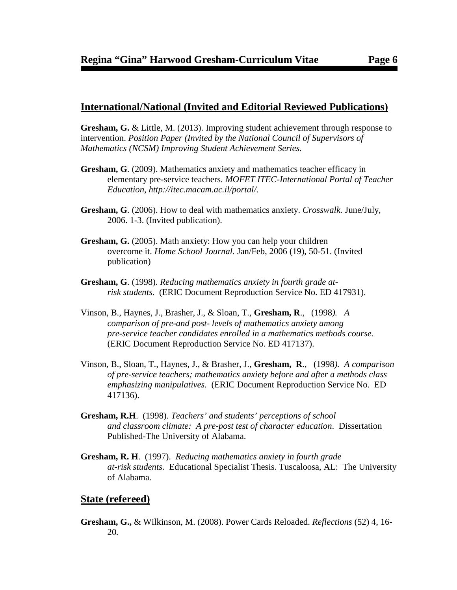#### **International/National (Invited and Editorial Reviewed Publications)**

**Gresham, G.** & Little, M. (2013). Improving student achievement through response to intervention. *Position Paper (Invited by the National Council of Supervisors of Mathematics (NCSM) Improving Student Achievement Series.*

- **Gresham, G**. (2009). Mathematics anxiety and mathematics teacher efficacy in elementary pre-service teachers. *MOFET ITEC-International Portal of Teacher Education, http://itec.macam.ac.il/portal/.*
- **Gresham, G**. (2006). How to deal with mathematics anxiety. *Crosswalk.* June/July, 2006. 1-3. (Invited publication).
- **Gresham, G.** (2005). Math anxiety: How you can help your children overcome it. *Home School Journal.* Jan/Feb, 2006 (19), 50-51. (Invited publication)
- **Gresham, G**. (1998). *Reducing mathematics anxiety in fourth grade atrisk students.* (ERIC Document Reproduction Service No. ED 417931).
- Vinson, B., Haynes, J., Brasher, J., & Sloan, T., **Gresham, R**., (1998*). A comparison of pre-and post- levels of mathematics anxiety among pre-service teacher candidates enrolled in a mathematics methods course.* (ERIC Document Reproduction Service No. ED 417137).
- Vinson, B., Sloan, T., Haynes, J., & Brasher, J., **Gresham, R**., (1998*). A comparison of pre-service teachers; mathematics anxiety before and after a methods class emphasizing manipulatives.* (ERIC Document Reproduction Service No. ED 417136).
- **Gresham, R.H**. (1998). *Teachers' and students' perceptions of school and classroom climate: A pre-post test of character education*. Dissertation Published-The University of Alabama.
- **Gresham, R. H**. (1997). *Reducing mathematics anxiety in fourth grade at-risk students.* Educational Specialist Thesis. Tuscaloosa, AL: The University of Alabama.

### **State (refereed)**

**Gresham, G.,** & Wilkinson, M. (2008). Power Cards Reloaded. *Reflections* (52) 4, 16- 20*.*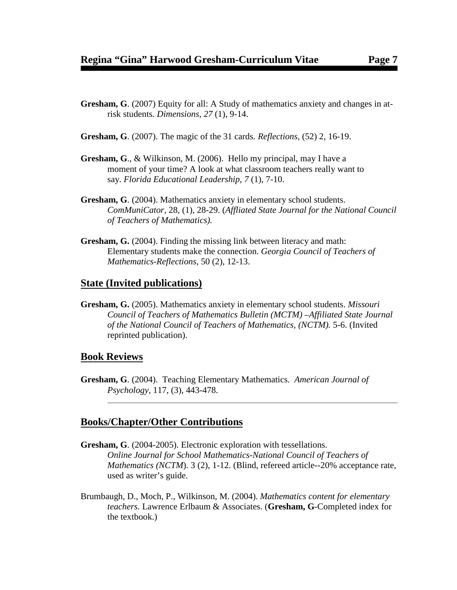- **Gresham, G**. (2007) Equity for all: A Study of mathematics anxiety and changes in atrisk students*. Dimensions, 27* (1), 9-14.
- **Gresham, G**. (2007). The magic of the 31 cards*. Reflections,* (52) 2, 16-19.
- **Gresham, G**., & Wilkinson, M. (2006). Hello my principal, may I have a moment of your time? A look at what classroom teachers really want to say. *Florida Educational Leadership, 7* (1), 7-10.
- **Gresham, G**. (2004). Mathematics anxiety in elementary school students. *ComMuniCator,* 28, (1), 28-29. (*Affliated State Journal for the National Council of Teachers of Mathematics).*
- **Gresham, G.** (2004). Finding the missing link between literacy and math: Elementary students make the connection. *Georgia Council of Teachers of Mathematics-Reflections*, 50 (2), 12-13.

#### **State (Invited publications)**

**Gresham, G.** (2005). Mathematics anxiety in elementary school students. *Missouri Council of Teachers of Mathematics Bulletin (MCTM) –Affiliated State Journal of the National Council of Teachers of Mathematics, (NCTM).* 5-6. (Invited reprinted publication).

#### **Book Reviews**

**Gresham, G**. (2004). Teaching Elementary Mathematics. *American Journal of Psychology,* 117, (3), 443-478.

#### **Books/Chapter/Other Contributions**

- **Gresham, G**. (2004-2005). Electronic exploration with tessellations. *Online Journal for School Mathematics-National Council of Teachers of Mathematics (NCTM).* 3 (2), 1-12. (Blind, refereed article--20% acceptance rate, used as writer's guide.
- Brumbaugh, D., Moch, P., Wilkinson, M. (2004). *Mathematics content for elementary teachers.* Lawrence Erlbaum & Associates. (**Gresham, G**-Completed index for the textbook.)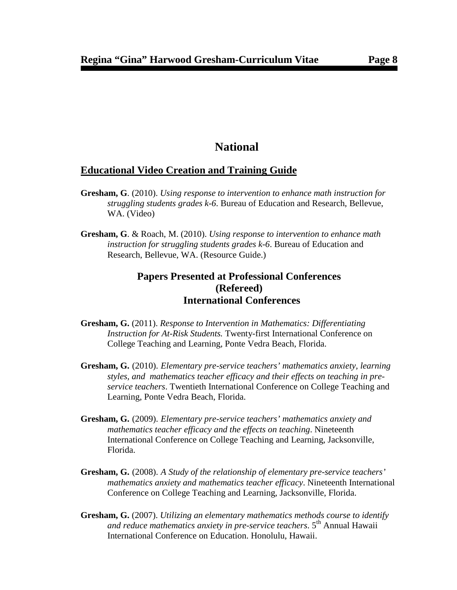# **National**

# **Educational Video Creation and Training Guide**

- **Gresham, G**. (2010). *Using response to intervention to enhance math instruction for struggling students grades k-6*. Bureau of Education and Research, Bellevue, WA. (Video)
- **Gresham, G**. & Roach, M. (2010). *Using response to intervention to enhance math instruction for struggling students grades k-6*. Bureau of Education and Research, Bellevue, WA. (Resource Guide.)

# **Papers Presented at Professional Conferences (Refereed) International Conferences**

- **Gresham, G.** (2011). *Response to Intervention in Mathematics: Differentiating Instruction for At-Risk Students.* Twenty-first International Conference on College Teaching and Learning, Ponte Vedra Beach, Florida.
- **Gresham, G.** (2010). *Elementary pre-service teachers' mathematics anxiety, learning styles, and mathematics teacher efficacy and their effects on teaching in preservice teachers*. Twentieth International Conference on College Teaching and Learning, Ponte Vedra Beach, Florida.
- **Gresham, G.** (2009). *Elementary pre-service teachers' mathematics anxiety and mathematics teacher efficacy and the effects on teaching*. Nineteenth International Conference on College Teaching and Learning, Jacksonville, Florida.
- **Gresham, G.** (2008). *A Study of the relationship of elementary pre-service teachers' mathematics anxiety and mathematics teacher efficacy*. Nineteenth International Conference on College Teaching and Learning, Jacksonville, Florida.
- **Gresham, G.** (2007). *Utilizing an elementary mathematics methods course to identify and reduce mathematics anxiety in pre-service teachers*. 5th Annual Hawaii International Conference on Education. Honolulu, Hawaii.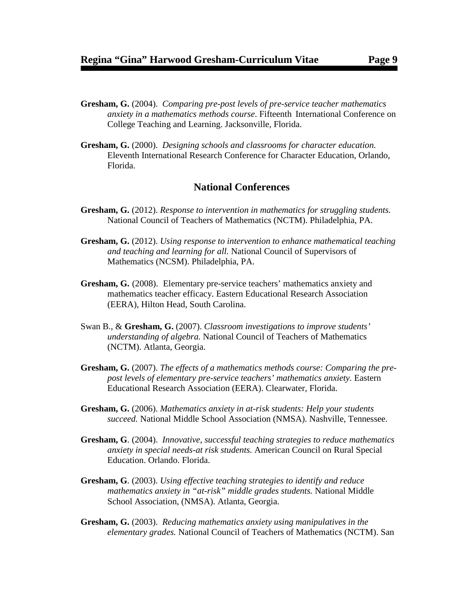- **Gresham, G.** (2004). *Comparing pre-post levels of pre-service teacher mathematics anxiety in a mathematics methods course*. Fifteenth International Conference on College Teaching and Learning. Jacksonville, Florida.
- **Gresham, G.** (2000). *Designing schools and classrooms for character education.* Eleventh International Research Conference for Character Education, Orlando, Florida.

### **National Conferences**

- **Gresham, G.** (2012). *Response to intervention in mathematics for struggling students.*  National Council of Teachers of Mathematics (NCTM). Philadelphia, PA.
- **Gresham, G.** (2012). *Using response to intervention to enhance mathematical teaching and teaching and learning for all.* National Council of Supervisors of Mathematics (NCSM). Philadelphia, PA.
- **Gresham, G.** (2008). Elementary pre-service teachers' mathematics anxiety and mathematics teacher efficacy. Eastern Educational Research Association (EERA), Hilton Head, South Carolina.
- Swan B., & **Gresham, G.** (2007). *Classroom investigations to improve students' understanding of algebra.* National Council of Teachers of Mathematics (NCTM). Atlanta, Georgia.
- **Gresham, G.** (2007). *The effects of a mathematics methods course: Comparing the prepost levels of elementary pre-service teachers' mathematics anxiety.* Eastern Educational Research Association (EERA). Clearwater, Florida.
- **Gresham, G.** (2006). *Mathematics anxiety in at-risk students: Help your students succeed.* National Middle School Association (NMSA). Nashville, Tennessee.
- **Gresham, G**. (2004). *Innovative, successful teaching strategies to reduce mathematics anxiety in special needs-at risk students.* American Council on Rural Special Education. Orlando. Florida.
- **Gresham, G**. (2003). *Using effective teaching strategies to identify and reduce mathematics anxiety in "at-risk" middle grades students.* National Middle School Association, (NMSA). Atlanta, Georgia.
- **Gresham, G.** (2003). *Reducing mathematics anxiety using manipulatives in the elementary grades.* National Council of Teachers of Mathematics (NCTM). San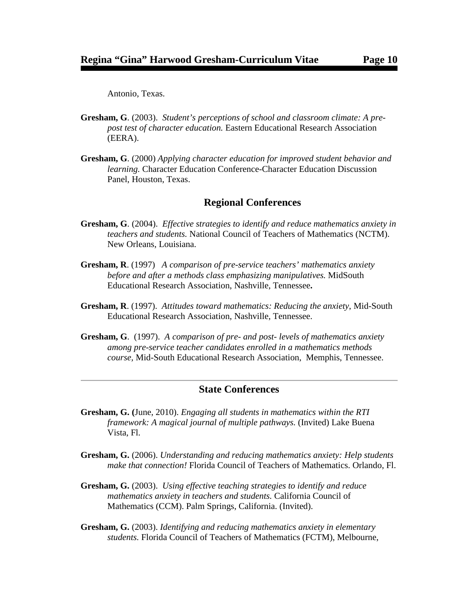Antonio, Texas.

- **Gresham, G**. (2003). *Student's perceptions of school and classroom climate: A prepost test of character education.* Eastern Educational Research Association (EERA).
- **Gresham, G**. (2000) *Applying character education for improved student behavior and learning.* Character Education Conference-Character Education Discussion Panel, Houston, Texas.

### **Regional Conferences**

- **Gresham, G**. (2004). *Effective strategies to identify and reduce mathematics anxiety in teachers and students.* National Council of Teachers of Mathematics (NCTM). New Orleans, Louisiana.
- **Gresham, R**. (1997) *A comparison of pre-service teachers' mathematics anxiety before and after a methods class emphasizing manipulatives.* MidSouth Educational Research Association, Nashville, Tennessee**.**
- **Gresham, R**. (1997). *Attitudes toward mathematics: Reducing the anxiety*, Mid-South Educational Research Association, Nashville, Tennessee.
- **Gresham, G**. (1997). *A comparison of pre- and post- levels of mathematics anxiety among pre-service teacher candidates enrolled in a mathematics methods course,* Mid-South Educational Research Association, Memphis, Tennessee.

### **State Conferences**

- **Gresham, G. (**June, 2010). *Engaging all students in mathematics within the RTI framework: A magical journal of multiple pathways.* (Invited) Lake Buena Vista, Fl.
- **Gresham, G.** (2006). *Understanding and reducing mathematics anxiety: Help students make that connection!* Florida Council of Teachers of Mathematics. Orlando, Fl.
- **Gresham, G.** (2003). *Using effective teaching strategies to identify and reduce mathematics anxiety in teachers and students.* California Council of Mathematics (CCM). Palm Springs, California. (Invited).
- **Gresham, G.** (2003). *Identifying and reducing mathematics anxiety in elementary students.* Florida Council of Teachers of Mathematics (FCTM), Melbourne,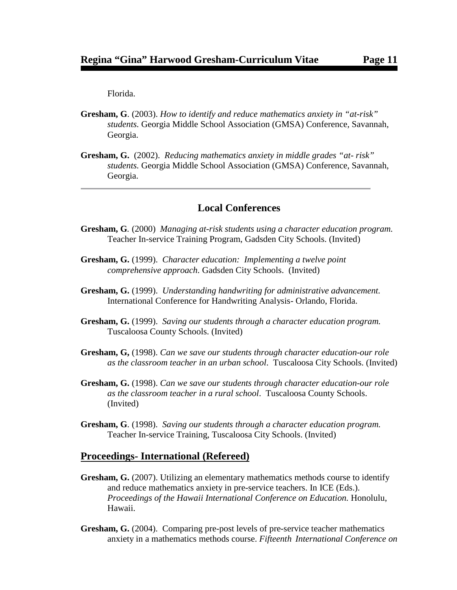Florida.

- **Gresham, G**. (2003). *How to identify and reduce mathematics anxiety in "at-risk" students.* Georgia Middle School Association (GMSA) Conference, Savannah, Georgia.
- **Gresham, G.** (2002). *Reducing mathematics anxiety in middle grades "at- risk" students.* Georgia Middle School Association (GMSA) Conference, Savannah, Georgia.

# **Local Conferences**

- **Gresham, G***.* (2000) *Managing at-risk students using a character education program.*  Teacher In-service Training Program, Gadsden City Schools. (Invited)
- **Gresham, G.** (1999). *Character education: Implementing a twelve point comprehensive approach.* Gadsden City Schools. (Invited)
- **Gresham, G.** (1999). *Understanding handwriting for administrative advancement.* International Conference for Handwriting Analysis- Orlando, Florida.
- **Gresham, G.** (1999). *Saving our students through a character education program.*  Tuscaloosa County Schools. (Invited)
- **Gresham, G,** (1998). *Can we save our students through character education-our role as the classroom teacher in an urban school*. Tuscaloosa City Schools. (Invited)
- **Gresham, G.** (1998). *Can we save our students through character education-our role as the classroom teacher in a rural school*. Tuscaloosa County Schools. (Invited)
- **Gresham, G**. (1998). *Saving our students through a character education program.* Teacher In-service Training, Tuscaloosa City Schools. (Invited)

# **Proceedings- International (Refereed)**

- **Gresham, G.** (2007). Utilizing an elementary mathematics methods course to identify and reduce mathematics anxiety in pre-service teachers. In ICE (Eds.). *Proceedings of the Hawaii International Conference on Education.* Honolulu, Hawaii.
- **Gresham, G.** (2004). Comparing pre-post levels of pre-service teacher mathematics anxiety in a mathematics methods course. *Fifteenth International Conference on*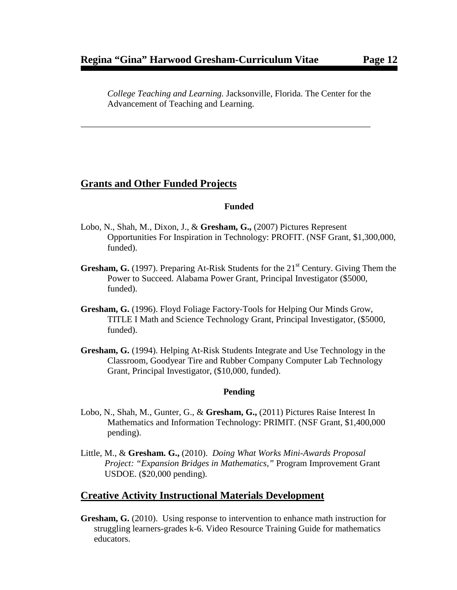*College Teaching and Learning.* Jacksonville, Florida. The Center for the Advancement of Teaching and Learning.

# **Grants and Other Funded Projects**

#### **Funded**

- Lobo, N., Shah, M., Dixon, J., & **Gresham, G.,** (2007) Pictures Represent Opportunities For Inspiration in Technology: PROFIT. (NSF Grant, \$1,300,000, funded).
- **Gresham, G.** (1997). Preparing At-Risk Students for the 21<sup>st</sup> Century. Giving Them the Power to Succeed. Alabama Power Grant, Principal Investigator (\$5000, funded).
- **Gresham, G.** (1996). Floyd Foliage Factory-Tools for Helping Our Minds Grow, TITLE I Math and Science Technology Grant, Principal Investigator, (\$5000, funded).
- **Gresham, G.** (1994). Helping At-Risk Students Integrate and Use Technology in the Classroom, Goodyear Tire and Rubber Company Computer Lab Technology Grant, Principal Investigator, (\$10,000, funded).

#### **Pending**

- Lobo, N., Shah, M., Gunter, G., & **Gresham, G.,** (2011) Pictures Raise Interest In Mathematics and Information Technology: PRIMIT. (NSF Grant, \$1,400,000 pending).
- Little, M., & **Gresham. G.,** (2010). *Doing What Works Mini-Awards Proposal Project: "Expansion Bridges in Mathematics,"* Program Improvement Grant USDOE. (\$20,000 pending).

#### **Creative Activity Instructional Materials Development**

**Gresham, G.** (2010). Using response to intervention to enhance math instruction for struggling learners-grades k-6. Video Resource Training Guide for mathematics educators.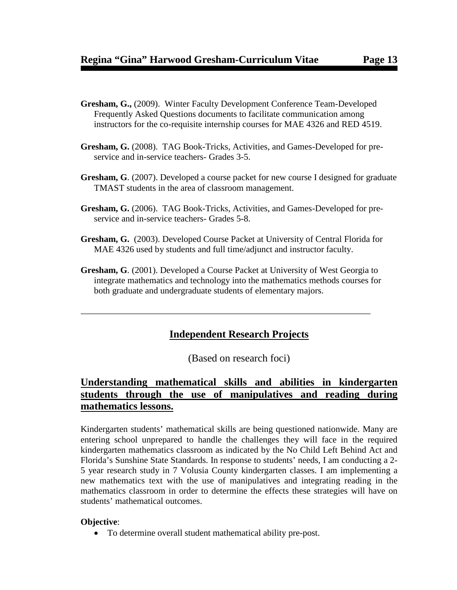- **Gresham, G.,** (2009). Winter Faculty Development Conference Team-Developed Frequently Asked Questions documents to facilitate communication among instructors for the co-requisite internship courses for MAE 4326 and RED 4519.
- **Gresham, G.** (2008). TAG Book-Tricks, Activities, and Games-Developed for preservice and in-service teachers- Grades 3-5.
- **Gresham, G**. (2007). Developed a course packet for new course I designed for graduate TMAST students in the area of classroom management.
- **Gresham, G.** (2006). TAG Book-Tricks, Activities, and Games-Developed for preservice and in-service teachers- Grades 5-8.
- **Gresham, G.** (2003). Developed Course Packet at University of Central Florida for MAE 4326 used by students and full time/adjunct and instructor faculty.
- **Gresham, G**. (2001). Developed a Course Packet at University of West Georgia to integrate mathematics and technology into the mathematics methods courses for both graduate and undergraduate students of elementary majors.

# **Independent Research Projects**

(Based on research foci)

# **Understanding mathematical skills and abilities in kindergarten students through the use of manipulatives and reading during mathematics lessons.**

Kindergarten students' mathematical skills are being questioned nationwide. Many are entering school unprepared to handle the challenges they will face in the required kindergarten mathematics classroom as indicated by the No Child Left Behind Act and Florida's Sunshine State Standards. In response to students' needs, I am conducting a 2- 5 year research study in 7 Volusia County kindergarten classes. I am implementing a new mathematics text with the use of manipulatives and integrating reading in the mathematics classroom in order to determine the effects these strategies will have on students' mathematical outcomes.

#### **Objective**:

• To determine overall student mathematical ability pre-post.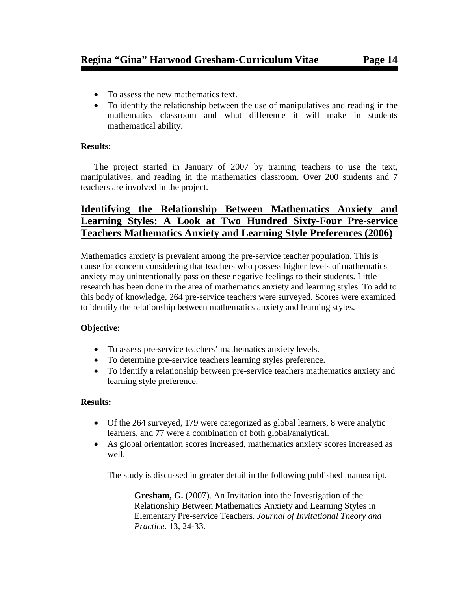- To assess the new mathematics text.
- To identify the relationship between the use of manipulatives and reading in the mathematics classroom and what difference it will make in students mathematical ability.

#### **Results**:

The project started in January of 2007 by training teachers to use the text, manipulatives, and reading in the mathematics classroom. Over 200 students and 7 teachers are involved in the project.

# **Identifying the Relationship Between Mathematics Anxiety and Learning Styles: A Look at Two Hundred Sixty-Four Pre-service Teachers Mathematics Anxiety and Learning Style Preferences (2006)**

Mathematics anxiety is prevalent among the pre-service teacher population. This is cause for concern considering that teachers who possess higher levels of mathematics anxiety may unintentionally pass on these negative feelings to their students. Little research has been done in the area of mathematics anxiety and learning styles. To add to this body of knowledge, 264 pre-service teachers were surveyed. Scores were examined to identify the relationship between mathematics anxiety and learning styles.

#### **Objective:**

- To assess pre-service teachers' mathematics anxiety levels.
- To determine pre-service teachers learning styles preference.
- To identify a relationship between pre-service teachers mathematics anxiety and learning style preference.

#### **Results:**

- Of the 264 surveyed, 179 were categorized as global learners, 8 were analytic learners, and 77 were a combination of both global/analytical.
- As global orientation scores increased, mathematics anxiety scores increased as well.

The study is discussed in greater detail in the following published manuscript.

**Gresham, G.** (2007). An Invitation into the Investigation of the Relationship Between Mathematics Anxiety and Learning Styles in Elementary Pre-service Teachers. *Journal of Invitational Theory and Practice*. 13, 24-33.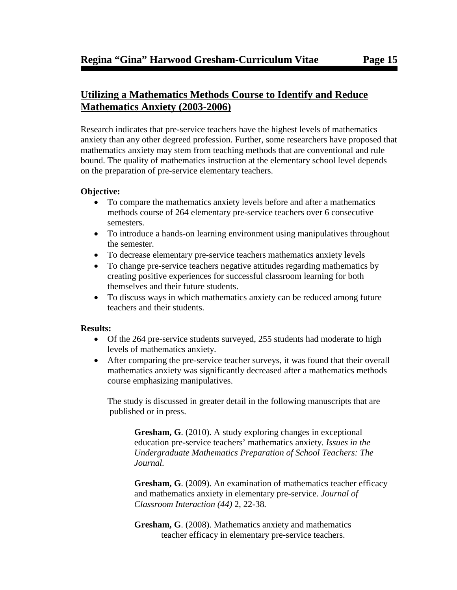# **Utilizing a Mathematics Methods Course to Identify and Reduce Mathematics Anxiety (2003-2006)**

Research indicates that pre-service teachers have the highest levels of mathematics anxiety than any other degreed profession. Further, some researchers have proposed that mathematics anxiety may stem from teaching methods that are conventional and rule bound. The quality of mathematics instruction at the elementary school level depends on the preparation of pre-service elementary teachers.

### **Objective:**

- To compare the mathematics anxiety levels before and after a mathematics methods course of 264 elementary pre-service teachers over 6 consecutive semesters.
- To introduce a hands-on learning environment using manipulatives throughout the semester.
- To decrease elementary pre-service teachers mathematics anxiety levels
- To change pre-service teachers negative attitudes regarding mathematics by creating positive experiences for successful classroom learning for both themselves and their future students.
- To discuss ways in which mathematics anxiety can be reduced among future teachers and their students.

### **Results:**

- Of the 264 pre-service students surveyed, 255 students had moderate to high levels of mathematics anxiety.
- After comparing the pre-service teacher surveys, it was found that their overall mathematics anxiety was significantly decreased after a mathematics methods course emphasizing manipulatives.

 The study is discussed in greater detail in the following manuscripts that are published or in press.

**Gresham, G**. (2010). A study exploring changes in exceptional education pre-service teachers' mathematics anxiety*. Issues in the Undergraduate Mathematics Preparation of School Teachers: The Journal.* 

**Gresham, G**. (2009). An examination of mathematics teacher efficacy and mathematics anxiety in elementary pre-service. *Journal of Classroom Interaction (44)* 2, 22-38*.*

**Gresham, G**. (2008). Mathematics anxiety and mathematics teacher efficacy in elementary pre-service teachers.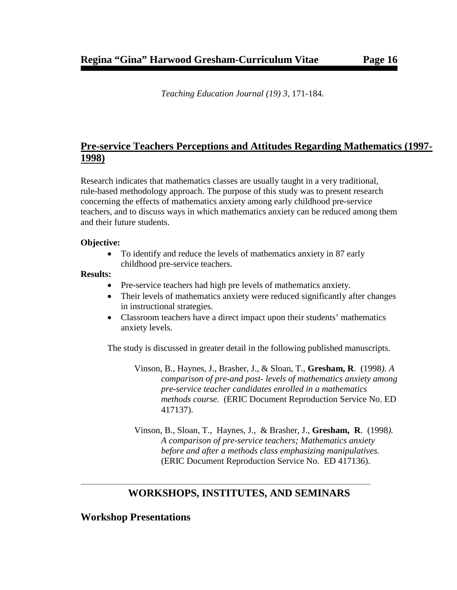*Teaching Education Journal (19) 3,* 171-184*.*

# **Pre-service Teachers Perceptions and Attitudes Regarding Mathematics (1997- 1998)**

Research indicates that mathematics classes are usually taught in a very traditional, rule-based methodology approach. The purpose of this study was to present research concerning the effects of mathematics anxiety among early childhood pre-service teachers, and to discuss ways in which mathematics anxiety can be reduced among them and their future students.

#### **Objective:**

• To identify and reduce the levels of mathematics anxiety in 87 early childhood pre-service teachers.

#### **Results:**

- Pre-service teachers had high pre levels of mathematics anxiety.
- Their levels of mathematics anxiety were reduced significantly after changes in instructional strategies.
- Classroom teachers have a direct impact upon their students' mathematics anxiety levels.

The study is discussed in greater detail in the following published manuscripts.

- Vinson, B., Haynes, J., Brasher, J., & Sloan, T., **Gresham, R**. (1998*). A comparison of pre-and post- levels of mathematics anxiety among pre-service teacher candidates enrolled in a mathematics methods course.* (ERIC Document Reproduction Service No. ED 417137).
- Vinson, B., Sloan, T., Haynes, J., & Brasher, J., **Gresham, R**. (1998*). A comparison of pre-service teachers; Mathematics anxiety before and after a methods class emphasizing manipulatives.*  (ERIC Document Reproduction Service No. ED 417136).

# **WORKSHOPS, INSTITUTES, AND SEMINARS**

# **Workshop Presentations**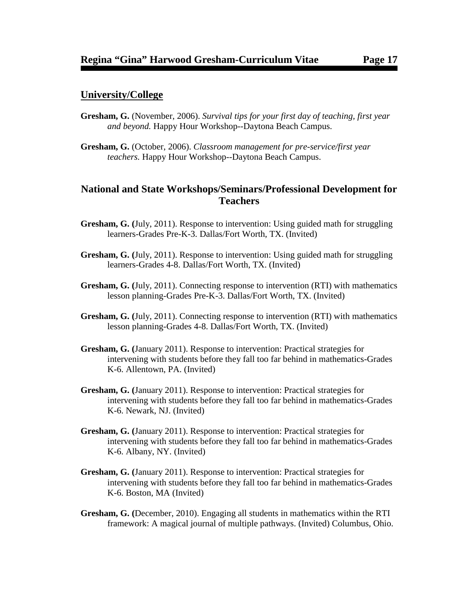# **University/College**

- **Gresham, G.** (November, 2006). *Survival tips for your first day of teaching, first year and beyond.* Happy Hour Workshop--Daytona Beach Campus.
- **Gresham, G.** (October, 2006). *Classroom management for pre-service/first year teachers.* Happy Hour Workshop--Daytona Beach Campus.

# **National and State Workshops/Seminars/Professional Development for Teachers**

- **Gresham, G. (**July, 2011). Response to intervention: Using guided math for struggling learners-Grades Pre-K-3. Dallas/Fort Worth, TX. (Invited)
- **Gresham, G. (**July, 2011). Response to intervention: Using guided math for struggling learners-Grades 4-8. Dallas/Fort Worth, TX. (Invited)
- **Gresham, G. (**July, 2011). Connecting response to intervention (RTI) with mathematics lesson planning-Grades Pre-K-3. Dallas/Fort Worth, TX. (Invited)
- **Gresham, G. (**July, 2011). Connecting response to intervention (RTI) with mathematics lesson planning-Grades 4-8. Dallas/Fort Worth, TX. (Invited)
- **Gresham, G. (**January 2011). Response to intervention: Practical strategies for intervening with students before they fall too far behind in mathematics-Grades K-6. Allentown, PA. (Invited)
- **Gresham, G. (**January 2011). Response to intervention: Practical strategies for intervening with students before they fall too far behind in mathematics-Grades K-6. Newark, NJ. (Invited)
- **Gresham, G. (**January 2011). Response to intervention: Practical strategies for intervening with students before they fall too far behind in mathematics-Grades K-6. Albany, NY. (Invited)
- **Gresham, G. (**January 2011). Response to intervention: Practical strategies for intervening with students before they fall too far behind in mathematics-Grades K-6. Boston, MA (Invited)
- **Gresham, G. (**December, 2010). Engaging all students in mathematics within the RTI framework: A magical journal of multiple pathways. (Invited) Columbus, Ohio.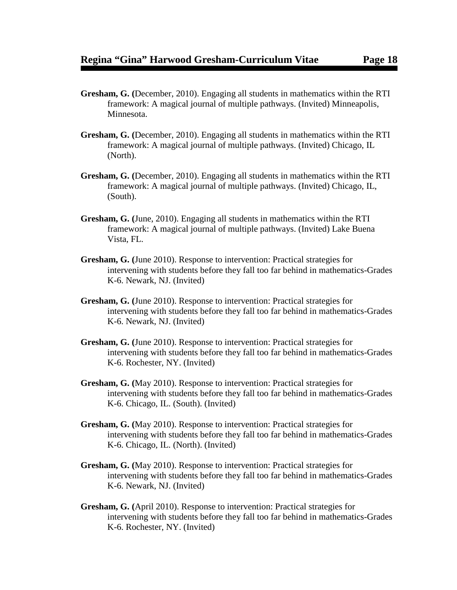- **Gresham, G. (**December, 2010). Engaging all students in mathematics within the RTI framework: A magical journal of multiple pathways. (Invited) Minneapolis, Minnesota.
- **Gresham, G. (**December, 2010). Engaging all students in mathematics within the RTI framework: A magical journal of multiple pathways. (Invited) Chicago, IL (North).
- **Gresham, G. (**December, 2010). Engaging all students in mathematics within the RTI framework: A magical journal of multiple pathways. (Invited) Chicago, IL, (South).
- **Gresham, G. (**June, 2010). Engaging all students in mathematics within the RTI framework: A magical journal of multiple pathways. (Invited) Lake Buena Vista, FL.
- **Gresham, G. (**June 2010). Response to intervention: Practical strategies for intervening with students before they fall too far behind in mathematics-Grades K-6. Newark, NJ. (Invited)
- **Gresham, G. (**June 2010). Response to intervention: Practical strategies for intervening with students before they fall too far behind in mathematics-Grades K-6. Newark, NJ. (Invited)
- **Gresham, G. (**June 2010). Response to intervention: Practical strategies for intervening with students before they fall too far behind in mathematics-Grades K-6. Rochester, NY. (Invited)
- **Gresham, G. (**May 2010). Response to intervention: Practical strategies for intervening with students before they fall too far behind in mathematics-Grades K-6. Chicago, IL. (South). (Invited)
- **Gresham, G. (**May 2010). Response to intervention: Practical strategies for intervening with students before they fall too far behind in mathematics-Grades K-6. Chicago, IL. (North). (Invited)
- **Gresham, G. (**May 2010). Response to intervention: Practical strategies for intervening with students before they fall too far behind in mathematics-Grades K-6. Newark, NJ. (Invited)
- **Gresham, G. (**April 2010). Response to intervention: Practical strategies for intervening with students before they fall too far behind in mathematics-Grades K-6. Rochester, NY. (Invited)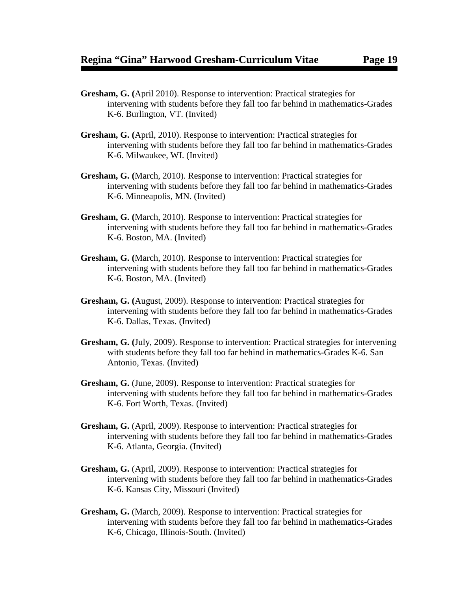- **Gresham, G. (**April 2010). Response to intervention: Practical strategies for intervening with students before they fall too far behind in mathematics-Grades K-6. Burlington, VT. (Invited)
- **Gresham, G. (**April, 2010). Response to intervention: Practical strategies for intervening with students before they fall too far behind in mathematics-Grades K-6. Milwaukee, WI. (Invited)
- **Gresham, G. (**March, 2010). Response to intervention: Practical strategies for intervening with students before they fall too far behind in mathematics-Grades K-6. Minneapolis, MN. (Invited)
- **Gresham, G. (**March, 2010). Response to intervention: Practical strategies for intervening with students before they fall too far behind in mathematics-Grades K-6. Boston, MA. (Invited)
- **Gresham, G. (**March, 2010). Response to intervention: Practical strategies for intervening with students before they fall too far behind in mathematics-Grades K-6. Boston, MA. (Invited)
- **Gresham, G. (**August, 2009). Response to intervention: Practical strategies for intervening with students before they fall too far behind in mathematics-Grades K-6. Dallas, Texas. (Invited)
- **Gresham, G. (**July, 2009). Response to intervention: Practical strategies for intervening with students before they fall too far behind in mathematics-Grades K-6. San Antonio, Texas. (Invited)
- **Gresham, G.** (June, 2009). Response to intervention: Practical strategies for intervening with students before they fall too far behind in mathematics-Grades K-6. Fort Worth, Texas. (Invited)
- **Gresham, G.** (April, 2009). Response to intervention: Practical strategies for intervening with students before they fall too far behind in mathematics-Grades K-6. Atlanta, Georgia. (Invited)
- **Gresham, G.** (April, 2009). Response to intervention: Practical strategies for intervening with students before they fall too far behind in mathematics-Grades K-6. Kansas City, Missouri (Invited)
- **Gresham, G.** (March, 2009). Response to intervention: Practical strategies for intervening with students before they fall too far behind in mathematics-Grades K-6, Chicago, Illinois-South. (Invited)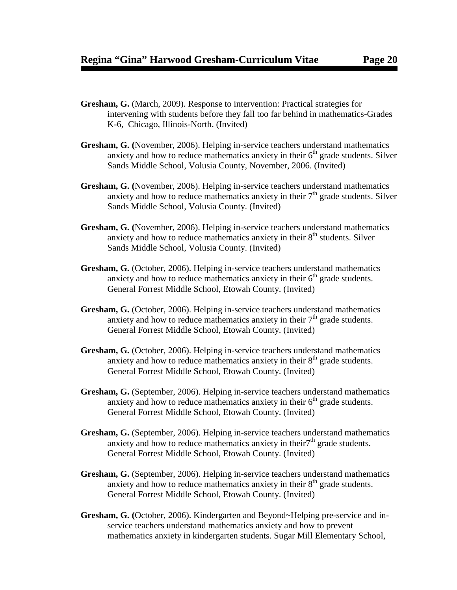- **Gresham, G.** (March, 2009). Response to intervention: Practical strategies for intervening with students before they fall too far behind in mathematics-Grades K-6, Chicago, Illinois-North. (Invited)
- **Gresham, G. (**November, 2006). Helping in-service teachers understand mathematics anxiety and how to reduce mathematics anxiety in their  $6<sup>th</sup>$  grade students. Silver Sands Middle School, Volusia County, November, 2006. (Invited)
- **Gresham, G. (**November, 2006). Helping in-service teachers understand mathematics anxiety and how to reduce mathematics anxiety in their  $7<sup>th</sup>$  grade students. Silver Sands Middle School, Volusia County. (Invited)
- **Gresham, G. (**November, 2006). Helping in-service teachers understand mathematics anxiety and how to reduce mathematics anxiety in their  $8<sup>th</sup>$  students. Silver Sands Middle School, Volusia County. (Invited)
- **Gresham, G.** (October, 2006). Helping in-service teachers understand mathematics anxiety and how to reduce mathematics anxiety in their  $6<sup>th</sup>$  grade students. General Forrest Middle School, Etowah County. (Invited)
- **Gresham, G.** (October, 2006). Helping in-service teachers understand mathematics anxiety and how to reduce mathematics anxiety in their  $7<sup>th</sup>$  grade students. General Forrest Middle School, Etowah County. (Invited)
- **Gresham, G.** (October, 2006). Helping in-service teachers understand mathematics anxiety and how to reduce mathematics anxiety in their  $8<sup>th</sup>$  grade students. General Forrest Middle School, Etowah County. (Invited)
- **Gresham, G.** (September, 2006). Helping in-service teachers understand mathematics anxiety and how to reduce mathematics anxiety in their  $6<sup>th</sup>$  grade students. General Forrest Middle School, Etowah County. (Invited)
- **Gresham, G.** (September, 2006). Helping in-service teachers understand mathematics anxiety and how to reduce mathematics anxiety in their $7<sup>th</sup>$  grade students. General Forrest Middle School, Etowah County. (Invited)
- **Gresham, G.** (September, 2006). Helping in-service teachers understand mathematics anxiety and how to reduce mathematics anxiety in their  $8<sup>th</sup>$  grade students. General Forrest Middle School, Etowah County. (Invited)
- **Gresham, G. (**October, 2006). Kindergarten and Beyond~Helping pre-service and inservice teachers understand mathematics anxiety and how to prevent mathematics anxiety in kindergarten students. Sugar Mill Elementary School,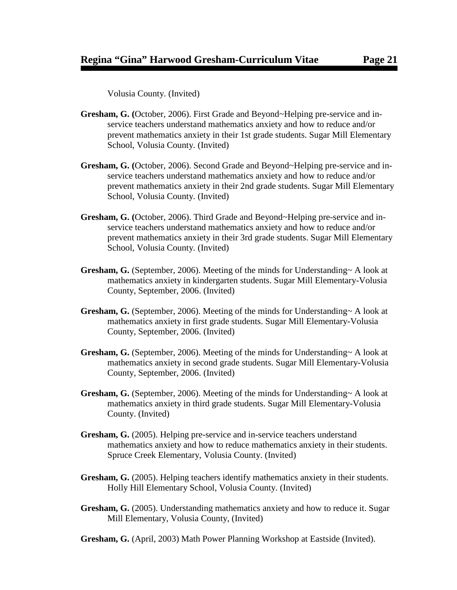Volusia County. (Invited)

- **Gresham, G. (**October, 2006). First Grade and Beyond~Helping pre-service and inservice teachers understand mathematics anxiety and how to reduce and/or prevent mathematics anxiety in their 1st grade students. Sugar Mill Elementary School, Volusia County. (Invited)
- **Gresham, G. (**October, 2006). Second Grade and Beyond~Helping pre-service and inservice teachers understand mathematics anxiety and how to reduce and/or prevent mathematics anxiety in their 2nd grade students. Sugar Mill Elementary School, Volusia County. (Invited)
- **Gresham, G. (**October, 2006). Third Grade and Beyond~Helping pre-service and inservice teachers understand mathematics anxiety and how to reduce and/or prevent mathematics anxiety in their 3rd grade students. Sugar Mill Elementary School, Volusia County. (Invited)
- **Gresham, G.** (September, 2006). Meeting of the minds for Understanding~ A look at mathematics anxiety in kindergarten students. Sugar Mill Elementary-Volusia County, September, 2006. (Invited)
- **Gresham, G.** (September, 2006). Meeting of the minds for Understanding~ A look at mathematics anxiety in first grade students. Sugar Mill Elementary-Volusia County, September, 2006. (Invited)
- **Gresham, G.** (September, 2006). Meeting of the minds for Understanding~ A look at mathematics anxiety in second grade students. Sugar Mill Elementary-Volusia County, September, 2006. (Invited)
- **Gresham, G.** (September, 2006). Meeting of the minds for Understanding~ A look at mathematics anxiety in third grade students. Sugar Mill Elementary-Volusia County. (Invited)
- **Gresham, G.** (2005). Helping pre-service and in-service teachers understand mathematics anxiety and how to reduce mathematics anxiety in their students. Spruce Creek Elementary, Volusia County. (Invited)
- **Gresham, G.** (2005). Helping teachers identify mathematics anxiety in their students. Holly Hill Elementary School, Volusia County. (Invited)
- **Gresham, G.** (2005). Understanding mathematics anxiety and how to reduce it. Sugar Mill Elementary, Volusia County, (Invited)

**Gresham, G.** (April, 2003) Math Power Planning Workshop at Eastside (Invited).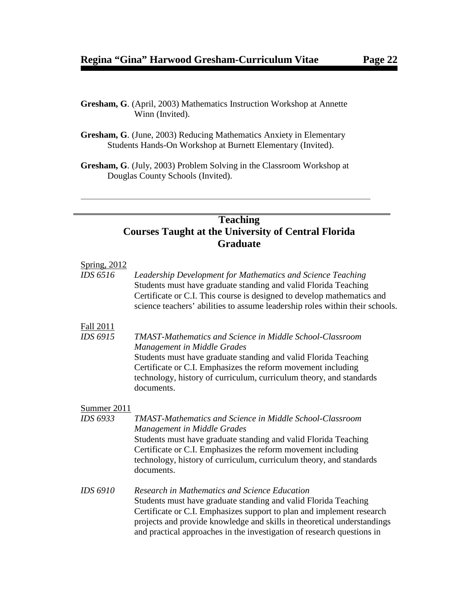- **Gresham, G**. (April, 2003) Mathematics Instruction Workshop at Annette Winn (Invited).
- **Gresham, G**. (June, 2003) Reducing Mathematics Anxiety in Elementary Students Hands-On Workshop at Burnett Elementary (Invited).
- **Gresham, G**. (July, 2003) Problem Solving in the Classroom Workshop at Douglas County Schools (Invited).

# **Teaching Courses Taught at the University of Central Florida Graduate**

#### Spring, 2012

*IDS 6516 Leadership Development for Mathematics and Science Teaching* Students must have graduate standing and valid Florida Teaching Certificate or C.I. This course is designed to develop mathematics and science teachers' abilities to assume leadership roles within their schools.

#### Fall 2011

*IDS 6915 TMAST-Mathematics and Science in Middle School-Classroom Management in Middle Grades*  Students must have graduate standing and valid Florida Teaching Certificate or C.I. Emphasizes the reform movement including technology, history of curriculum, curriculum theory, and standards documents.

#### Summer 2011

- *IDS 6933 TMAST-Mathematics and Science in Middle School-Classroom Management in Middle Grades*  Students must have graduate standing and valid Florida Teaching Certificate or C.I. Emphasizes the reform movement including technology, history of curriculum, curriculum theory, and standards documents.
- *IDS 6910 Research in Mathematics and Science Education* Students must have graduate standing and valid Florida Teaching Certificate or C.I. Emphasizes support to plan and implement research projects and provide knowledge and skills in theoretical understandings and practical approaches in the investigation of research questions in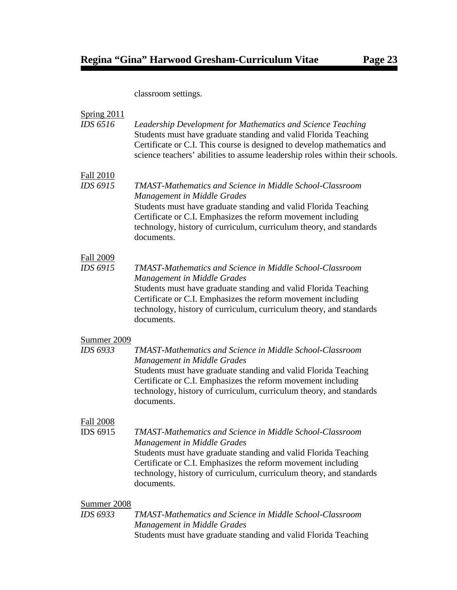classroom settings.

| <b>Spring 2011</b><br>IDS 6516      | Leadership Development for Mathematics and Science Teaching<br>Students must have graduate standing and valid Florida Teaching<br>Certificate or C.I. This course is designed to develop mathematics and<br>science teachers' abilities to assume leadership roles within their schools.                               |
|-------------------------------------|------------------------------------------------------------------------------------------------------------------------------------------------------------------------------------------------------------------------------------------------------------------------------------------------------------------------|
| Fall 2010<br>IDS 6915               | TMAST-Mathematics and Science in Middle School-Classroom<br>Management in Middle Grades<br>Students must have graduate standing and valid Florida Teaching<br>Certificate or C.I. Emphasizes the reform movement including<br>technology, history of curriculum, curriculum theory, and standards<br>documents.        |
| <b>Fall 2009</b><br>IDS 6915        | <b>TMAST-Mathematics and Science in Middle School-Classroom</b><br>Management in Middle Grades<br>Students must have graduate standing and valid Florida Teaching<br>Certificate or C.I. Emphasizes the reform movement including<br>technology, history of curriculum, curriculum theory, and standards<br>documents. |
| <b>Summer 2009</b>                  |                                                                                                                                                                                                                                                                                                                        |
| IDS 6933                            | TMAST-Mathematics and Science in Middle School-Classroom<br>Management in Middle Grades<br>Students must have graduate standing and valid Florida Teaching<br>Certificate or C.I. Emphasizes the reform movement including<br>technology, history of curriculum, curriculum theory, and standards<br>documents.        |
| <b>Fall 2008</b><br><b>IDS 6915</b> | TMAST-Mathematics and Science in Middle School-Classroom<br><b>Management in Middle Grades</b><br>Students must have graduate standing and valid Florida Teaching<br>Certificate or C.I. Emphasizes the reform movement including<br>technology, history of curriculum, curriculum theory, and standards<br>documents. |
| Summer 2008<br>IDS 6933             | <b>TMAST-Mathematics and Science in Middle School-Classroom</b><br><b>Management in Middle Grades</b><br>Students must have graduate standing and valid Florida Teaching                                                                                                                                               |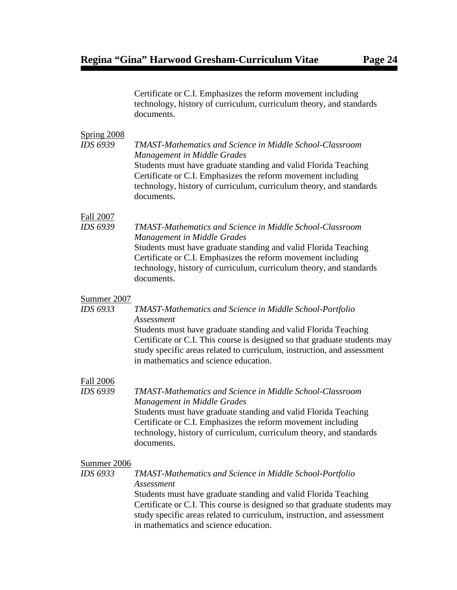Certificate or C.I. Emphasizes the reform movement including technology, history of curriculum, curriculum theory, and standards documents.

#### Spring 2008

*IDS 6939 TMAST-Mathematics and Science in Middle School-Classroom Management in Middle Grades*  Students must have graduate standing and valid Florida Teaching Certificate or C.I. Emphasizes the reform movement including technology, history of curriculum, curriculum theory, and standards documents.

### Fall 2007

*IDS 6939 TMAST-Mathematics and Science in Middle School-Classroom Management in Middle Grades*  Students must have graduate standing and valid Florida Teaching Certificate or C.I. Emphasizes the reform movement including technology, history of curriculum, curriculum theory, and standards documents.

#### Summer 2007

#### *IDS 6933 TMAST-Mathematics and Science in Middle School-Portfolio Assessment*

Students must have graduate standing and valid Florida Teaching Certificate or C.I. This course is designed so that graduate students may study specific areas related to curriculum, instruction, and assessment in mathematics and science education.

### Fall 2006

*IDS 6939 TMAST-Mathematics and Science in Middle School-Classroom Management in Middle Grades*  Students must have graduate standing and valid Florida Teaching Certificate or C.I. Emphasizes the reform movement including technology, history of curriculum, curriculum theory, and standards documents.

#### Summer 2006

#### *IDS 6933 TMAST-Mathematics and Science in Middle School-Portfolio Assessment*

Students must have graduate standing and valid Florida Teaching Certificate or C.I. This course is designed so that graduate students may study specific areas related to curriculum, instruction, and assessment in mathematics and science education.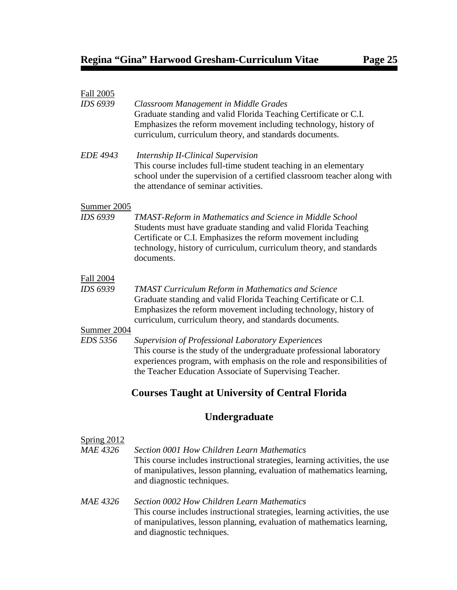| <b>Fall 2005</b><br><b>IDS 6939</b> | Classroom Management in Middle Grades<br>Graduate standing and valid Florida Teaching Certificate or C.I.<br>Emphasizes the reform movement including technology, history of<br>curriculum, curriculum theory, and standards documents.                                                 |
|-------------------------------------|-----------------------------------------------------------------------------------------------------------------------------------------------------------------------------------------------------------------------------------------------------------------------------------------|
| <b>EDE 4943</b>                     | <b>Internship II-Clinical Supervision</b><br>This course includes full-time student teaching in an elementary<br>school under the supervision of a certified classroom teacher along with<br>the attendance of seminar activities.                                                      |
| Summer 2005                         |                                                                                                                                                                                                                                                                                         |
| <b>IDS 6939</b>                     | <b>TMAST-Reform in Mathematics and Science in Middle School</b><br>Students must have graduate standing and valid Florida Teaching<br>Certificate or C.I. Emphasizes the reform movement including<br>technology, history of curriculum, curriculum theory, and standards<br>documents. |
| <b>Fall 2004</b>                    |                                                                                                                                                                                                                                                                                         |
| <b>IDS 6939</b>                     | <b>TMAST Curriculum Reform in Mathematics and Science</b><br>Graduate standing and valid Florida Teaching Certificate or C.I.<br>Emphasizes the reform movement including technology, history of<br>curriculum, curriculum theory, and standards documents.                             |
| Summer 2004                         |                                                                                                                                                                                                                                                                                         |
| EDS 5356                            | <b>Supervision of Professional Laboratory Experiences</b><br>This course is the study of the undergraduate professional laboratory<br>experiences program, with emphasis on the role and responsibilities of<br>the Teacher Education Associate of Supervising Teacher.                 |
|                                     | <b>Courses Taught at University of Central Florida</b>                                                                                                                                                                                                                                  |

# **Undergraduate**

| Spring 2012<br><b>MAE 4326</b> | Section 0001 How Children Learn Mathematics<br>This course includes instructional strategies, learning activities, the use<br>of manipulatives, lesson planning, evaluation of mathematics learning,<br>and diagnostic techniques. |
|--------------------------------|------------------------------------------------------------------------------------------------------------------------------------------------------------------------------------------------------------------------------------|
| MAE 4326                       | Section 0002 How Children Learn Mathematics<br>This course includes instructional strategies, learning activities, the use<br>of manipulatives, lesson planning, evaluation of mathematics learning,<br>and diagnostic techniques. |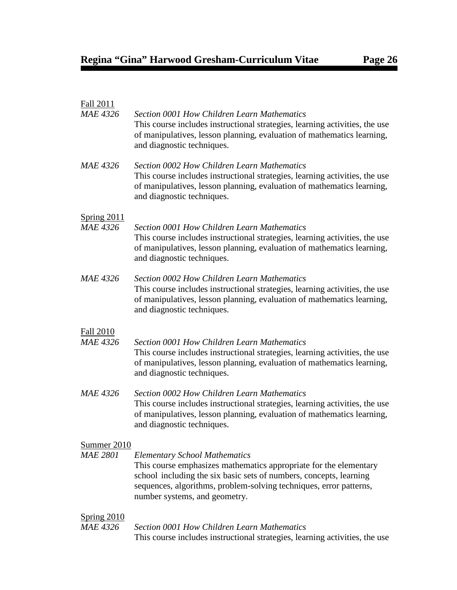# Fall 2011

| <b>MAE 4326</b>                       | Section 0001 How Children Learn Mathematics<br>This course includes instructional strategies, learning activities, the use<br>of manipulatives, lesson planning, evaluation of mathematics learning,<br>and diagnostic techniques.                                                     |
|---------------------------------------|----------------------------------------------------------------------------------------------------------------------------------------------------------------------------------------------------------------------------------------------------------------------------------------|
| <b>MAE 4326</b>                       | <b>Section 0002 How Children Learn Mathematics</b><br>This course includes instructional strategies, learning activities, the use<br>of manipulatives, lesson planning, evaluation of mathematics learning,<br>and diagnostic techniques.                                              |
| <b>Spring 2011</b><br><b>MAE 4326</b> | <b>Section 0001 How Children Learn Mathematics</b><br>This course includes instructional strategies, learning activities, the use<br>of manipulatives, lesson planning, evaluation of mathematics learning,<br>and diagnostic techniques.                                              |
| <b>MAE 4326</b>                       | Section 0002 How Children Learn Mathematics<br>This course includes instructional strategies, learning activities, the use<br>of manipulatives, lesson planning, evaluation of mathematics learning,<br>and diagnostic techniques.                                                     |
| <b>Fall 2010</b><br><b>MAE 4326</b>   | <b>Section 0001 How Children Learn Mathematics</b><br>This course includes instructional strategies, learning activities, the use<br>of manipulatives, lesson planning, evaluation of mathematics learning,<br>and diagnostic techniques.                                              |
| <b>MAE 4326</b>                       | <b>Section 0002 How Children Learn Mathematics</b><br>This course includes instructional strategies, learning activities, the use<br>of manipulatives, lesson planning, evaluation of mathematics learning,<br>and diagnostic techniques.                                              |
| <b>Summer 2010</b><br><b>MAE 2801</b> | <b>Elementary School Mathematics</b><br>This course emphasizes mathematics appropriate for the elementary<br>school including the six basic sets of numbers, concepts, learning<br>sequences, algorithms, problem-solving techniques, error patterns,<br>number systems, and geometry. |
| Spring 2010<br><b>MAE 4326</b>        | <b>Section 0001 How Children Learn Mathematics</b><br>This course includes instructional strategies, learning activities, the use                                                                                                                                                      |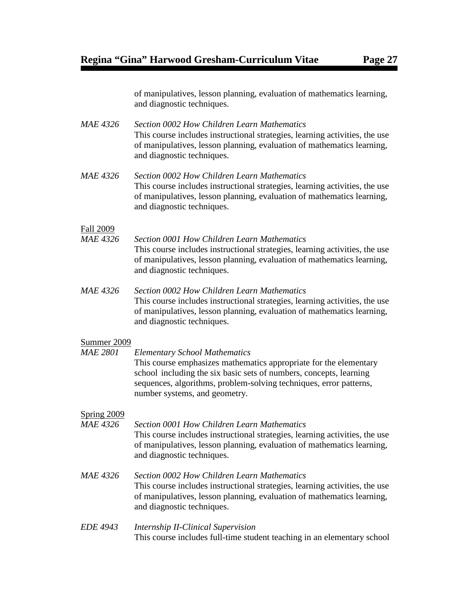of manipulatives, lesson planning, evaluation of mathematics learning, and diagnostic techniques.

- *MAE 4326 Section 0002 How Children Learn Mathematics* This course includes instructional strategies, learning activities, the use of manipulatives, lesson planning, evaluation of mathematics learning, and diagnostic techniques.
- *MAE 4326 Section 0002 How Children Learn Mathematics* This course includes instructional strategies, learning activities, the use of manipulatives, lesson planning, evaluation of mathematics learning, and diagnostic techniques.

#### Fall 2009

- *MAE 4326 Section 0001 How Children Learn Mathematics* This course includes instructional strategies, learning activities, the use of manipulatives, lesson planning, evaluation of mathematics learning, and diagnostic techniques.
- *MAE 4326 Section 0002 How Children Learn Mathematics* This course includes instructional strategies, learning activities, the use of manipulatives, lesson planning, evaluation of mathematics learning, and diagnostic techniques.

#### Summer 2009

*MAE 2801 Elementary School Mathematics* This course emphasizes mathematics appropriate for the elementary school including the six basic sets of numbers, concepts, learning sequences, algorithms, problem-solving techniques, error patterns, number systems, and geometry.

#### Spring 2009

*MAE 4326 Section 0001 How Children Learn Mathematics* This course includes instructional strategies, learning activities, the use of manipulatives, lesson planning, evaluation of mathematics learning, and diagnostic techniques.

#### *MAE 4326 Section 0002 How Children Learn Mathematics* This course includes instructional strategies, learning activities, the use of manipulatives, lesson planning, evaluation of mathematics learning, and diagnostic techniques.

*EDE 4943 Internship II-Clinical Supervision* This course includes full-time student teaching in an elementary school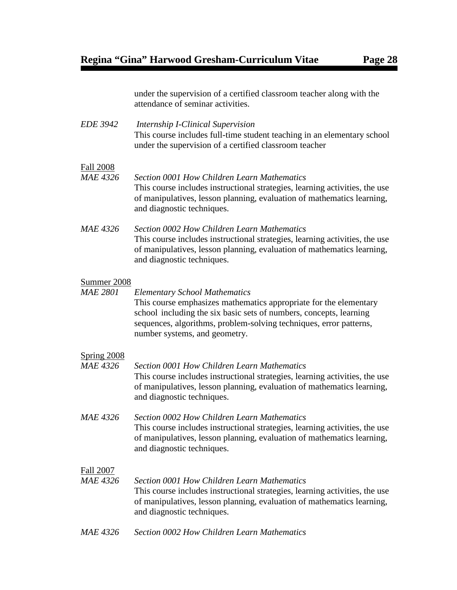under the supervision of a certified classroom teacher along with the attendance of seminar activities.

*EDE 3942 Internship I-Clinical Supervision* This course includes full-time student teaching in an elementary school under the supervision of a certified classroom teacher

#### Fall 2008

- *MAE 4326 Section 0001 How Children Learn Mathematics* This course includes instructional strategies, learning activities, the use of manipulatives, lesson planning, evaluation of mathematics learning, and diagnostic techniques.
- *MAE 4326 Section 0002 How Children Learn Mathematics* This course includes instructional strategies, learning activities, the use of manipulatives, lesson planning, evaluation of mathematics learning, and diagnostic techniques.

#### Summer 2008

*MAE 2801 Elementary School Mathematics* This course emphasizes mathematics appropriate for the elementary school including the six basic sets of numbers, concepts, learning sequences, algorithms, problem-solving techniques, error patterns, number systems, and geometry.

# $\frac{\text{Spring } 2008}{\text{MAE } 4326}$

- *Section 0001 How Children Learn Mathematics* This course includes instructional strategies, learning activities, the use of manipulatives, lesson planning, evaluation of mathematics learning, and diagnostic techniques.
- *MAE 4326 Section 0002 How Children Learn Mathematics* This course includes instructional strategies, learning activities, the use of manipulatives, lesson planning, evaluation of mathematics learning, and diagnostic techniques.

#### Fall 2007

- *MAE 4326 Section 0001 How Children Learn Mathematics* This course includes instructional strategies, learning activities, the use of manipulatives, lesson planning, evaluation of mathematics learning, and diagnostic techniques.
- *MAE 4326 Section 0002 How Children Learn Mathematics*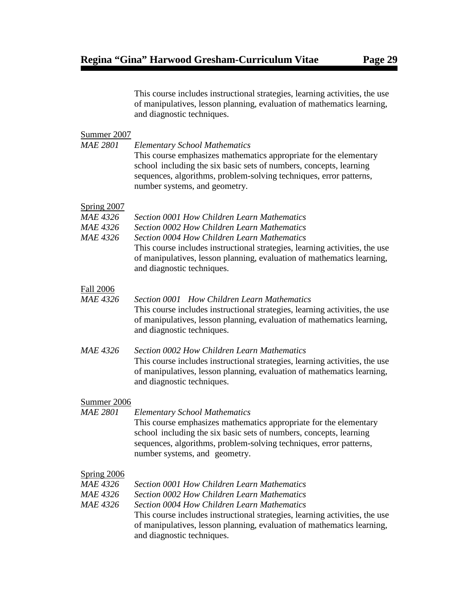This course includes instructional strategies, learning activities, the use of manipulatives, lesson planning, evaluation of mathematics learning, and diagnostic techniques.

# Summer 2007<br>MAE 2801

*Elementary School Mathematics* This course emphasizes mathematics appropriate for the elementary school including the six basic sets of numbers, concepts, learning sequences, algorithms, problem-solving techniques, error patterns, number systems, and geometry.

#### Spring 2007

- *MAE 4326 Section 0001 How Children Learn Mathematics*
- *MAE 4326 Section 0002 How Children Learn Mathematics*
- *MAE 4326 Section 0004 How Children Learn Mathematics*

This course includes instructional strategies, learning activities, the use of manipulatives, lesson planning, evaluation of mathematics learning, and diagnostic techniques.

#### Fall 2006

- *MAE 4326 Section 0001 How Children Learn Mathematics* This course includes instructional strategies, learning activities, the use of manipulatives, lesson planning, evaluation of mathematics learning, and diagnostic techniques.
- *MAE 4326 Section 0002 How Children Learn Mathematics* This course includes instructional strategies, learning activities, the use of manipulatives, lesson planning, evaluation of mathematics learning, and diagnostic techniques.

#### Summer 2006

*MAE 2801 Elementary School Mathematics* This course emphasizes mathematics appropriate for the elementary school including the six basic sets of numbers, concepts, learning sequences, algorithms, problem-solving techniques, error patterns, number systems, and geometry.

#### Spring 2006

- *MAE 4326 Section 0001 How Children Learn Mathematics*
- *MAE 4326 Section 0002 How Children Learn Mathematics*
- *MAE 4326 Section 0004 How Children Learn Mathematics*

This course includes instructional strategies, learning activities, the use of manipulatives, lesson planning, evaluation of mathematics learning, and diagnostic techniques.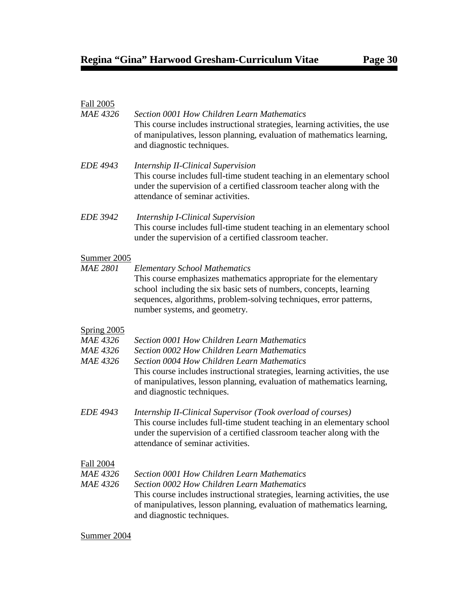# Fall 2005

| <b>MAE 4326</b>                    | Section 0001 How Children Learn Mathematics<br>This course includes instructional strategies, learning activities, the use<br>of manipulatives, lesson planning, evaluation of mathematics learning,<br>and diagnostic techniques.                    |
|------------------------------------|-------------------------------------------------------------------------------------------------------------------------------------------------------------------------------------------------------------------------------------------------------|
| <b>EDE 4943</b>                    | <b>Internship II-Clinical Supervision</b><br>This course includes full-time student teaching in an elementary school<br>under the supervision of a certified classroom teacher along with the<br>attendance of seminar activities.                    |
| <b>EDE 3942</b>                    | <b>Internship I-Clinical Supervision</b><br>This course includes full-time student teaching in an elementary school<br>under the supervision of a certified classroom teacher.                                                                        |
| Summer 2005<br><b>MAE 2801</b>     | <b>Elementary School Mathematics</b>                                                                                                                                                                                                                  |
|                                    | This course emphasizes mathematics appropriate for the elementary<br>school including the six basic sets of numbers, concepts, learning<br>sequences, algorithms, problem-solving techniques, error patterns,<br>number systems, and geometry.        |
| <b>Spring 2005</b>                 |                                                                                                                                                                                                                                                       |
| <b>MAE 4326</b><br><b>MAE 4326</b> | Section 0001 How Children Learn Mathematics<br><b>Section 0002 How Children Learn Mathematics</b>                                                                                                                                                     |
| <b>MAE 4326</b>                    | <b>Section 0004 How Children Learn Mathematics</b><br>This course includes instructional strategies, learning activities, the use<br>of manipulatives, lesson planning, evaluation of mathematics learning,<br>and diagnostic techniques.             |
| <b>EDE 4943</b>                    | Internship II-Clinical Supervisor (Took overload of courses)<br>This course includes full-time student teaching in an elementary school<br>under the supervision of a certified classroom teacher along with the<br>attendance of seminar activities. |
| <b>Fall 2004</b>                   |                                                                                                                                                                                                                                                       |
| <b>MAE 4326</b><br><b>MAE 4326</b> | Section 0001 How Children Learn Mathematics<br><b>Section 0002 How Children Learn Mathematics</b>                                                                                                                                                     |
|                                    | This course includes instructional strategies, learning activities, the use<br>of manipulatives, lesson planning, evaluation of mathematics learning,<br>and diagnostic techniques.                                                                   |

# Summer 2004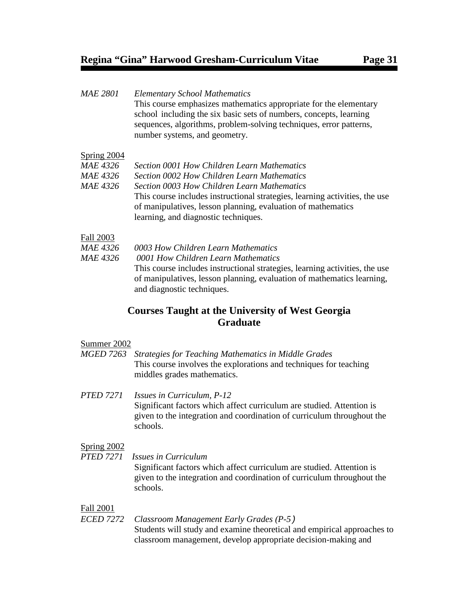# **Regina "Gina" Harwood Gresham-Curriculum Vitae Page 31**

#### *MAE 2801 Elementary School Mathematics* This course emphasizes mathematics appropriate for the elementary school including the six basic sets of numbers, concepts, learning sequences, algorithms, problem-solving techniques, error patterns, number systems, and geometry.

#### Spring 2004

| <i>MAE 4326</i> |  |  | Section 0001 How Children Learn Mathematics |
|-----------------|--|--|---------------------------------------------|
|-----------------|--|--|---------------------------------------------|

- *MAE 4326 Section 0002 How Children Learn Mathematics*
- *MAE 4326 Section 0003 How Children Learn Mathematics* This course includes instructional strategies, learning activities, the use of manipulatives, lesson planning, evaluation of mathematics learning, and diagnostic techniques.

#### Fall 2003

- *MAE 4326 0003 How Children Learn Mathematics*
- *MAE 4326 0001 How Children Learn Mathematics*

This course includes instructional strategies, learning activities, the use of manipulatives, lesson planning, evaluation of mathematics learning, and diagnostic techniques.

# **Courses Taught at the University of West Georgia Graduate**

#### Summer 2002

| MGED 7263 Strategies for Teaching Mathematics in Middle Grades    |
|-------------------------------------------------------------------|
| This course involves the explorations and techniques for teaching |
| middles grades mathematics.                                       |

#### *PTED 7271 Issues in Curriculum, P-12*

Significant factors which affect curriculum are studied. Attention is given to the integration and coordination of curriculum throughout the schools.

#### Spring 2002

*PTED 7271 Issues in Curriculum*

Significant factors which affect curriculum are studied. Attention is given to the integration and coordination of curriculum throughout the schools.

#### Fall 2001

*ECED 7272 Classroom Management Early Grades (P-5)* 

Students will study and examine theoretical and empirical approaches to classroom management, develop appropriate decision-making and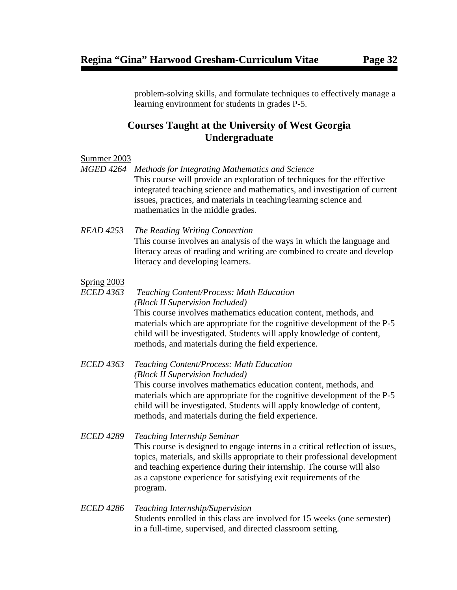problem-solving skills, and formulate techniques to effectively manage a learning environment for students in grades P-5.

# **Courses Taught at the University of West Georgia Undergraduate**

#### Summer 2003

*MGED 4264 Methods for Integrating Mathematics and Science*

This course will provide an exploration of techniques for the effective integrated teaching science and mathematics, and investigation of current issues, practices, and materials in teaching/learning science and mathematics in the middle grades.

#### *READ 4253 The Reading Writing Connection*

This course involves an analysis of the ways in which the language and literacy areas of reading and writing are combined to create and develop literacy and developing learners.

### Spring 2003

*ECED 4363 Teaching Content/Process: Math Education (Block II Supervision Included)* This course involves mathematics education content, methods, and materials which are appropriate for the cognitive development of the P-5 child will be investigated. Students will apply knowledge of content, methods, and materials during the field experience.

#### *ECED 4363 Teaching Content/Process: Math Education (Block II Supervision Included)* This course involves mathematics education content, methods, and materials which are appropriate for the cognitive development of the P-5 child will be investigated. Students will apply knowledge of content, methods, and materials during the field experience.

*ECED 4289 Teaching Internship Seminar* This course is designed to engage interns in a critical reflection of issues, topics, materials, and skills appropriate to their professional development and teaching experience during their internship. The course will also as a capstone experience for satisfying exit requirements of the program.

#### *ECED 4286 Teaching Internship/Supervision* Students enrolled in this class are involved for 15 weeks (one semester) in a full-time, supervised, and directed classroom setting.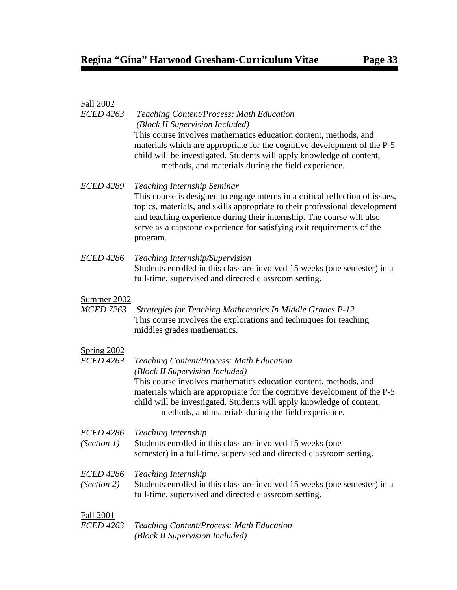| <b>Fall 2002</b>                       |                                                                                                                                                                                                                                                                                                                                                                   |
|----------------------------------------|-------------------------------------------------------------------------------------------------------------------------------------------------------------------------------------------------------------------------------------------------------------------------------------------------------------------------------------------------------------------|
| <b>ECED</b> 4263                       | <b>Teaching Content/Process: Math Education</b><br>(Block II Supervision Included)<br>This course involves mathematics education content, methods, and                                                                                                                                                                                                            |
|                                        | materials which are appropriate for the cognitive development of the P-5<br>child will be investigated. Students will apply knowledge of content,<br>methods, and materials during the field experience.                                                                                                                                                          |
| <b>ECED 4289</b>                       | <b>Teaching Internship Seminar</b><br>This course is designed to engage interns in a critical reflection of issues,<br>topics, materials, and skills appropriate to their professional development<br>and teaching experience during their internship. The course will also<br>serve as a capstone experience for satisfying exit requirements of the<br>program. |
| <b>ECED 4286</b>                       | Teaching Internship/Supervision<br>Students enrolled in this class are involved 15 weeks (one semester) in a<br>full-time, supervised and directed classroom setting.                                                                                                                                                                                             |
| Summer 2002                            |                                                                                                                                                                                                                                                                                                                                                                   |
| <b>MGED 7263</b>                       | <b>Strategies for Teaching Mathematics In Middle Grades P-12</b><br>This course involves the explorations and techniques for teaching<br>middles grades mathematics.                                                                                                                                                                                              |
| <b>Spring 2002</b><br><b>ECED 4263</b> |                                                                                                                                                                                                                                                                                                                                                                   |
|                                        | Teaching Content/Process: Math Education<br>(Block II Supervision Included)                                                                                                                                                                                                                                                                                       |
|                                        | This course involves mathematics education content, methods, and<br>materials which are appropriate for the cognitive development of the P-5<br>child will be investigated. Students will apply knowledge of content,<br>methods, and materials during the field experience.                                                                                      |
|                                        | ECED 4286 Teaching Internship                                                                                                                                                                                                                                                                                                                                     |
| (Section 1)                            | Students enrolled in this class are involved 15 weeks (one<br>semester) in a full-time, supervised and directed classroom setting.                                                                                                                                                                                                                                |
| <b>ECED</b> 4286                       | <b>Teaching Internship</b>                                                                                                                                                                                                                                                                                                                                        |
| (Section 2)                            | Students enrolled in this class are involved 15 weeks (one semester) in a<br>full-time, supervised and directed classroom setting.                                                                                                                                                                                                                                |
| <b>Fall 2001</b>                       |                                                                                                                                                                                                                                                                                                                                                                   |
| <b>ECED 4263</b>                       | <b>Teaching Content/Process: Math Education</b><br>(Block II Supervision Included)                                                                                                                                                                                                                                                                                |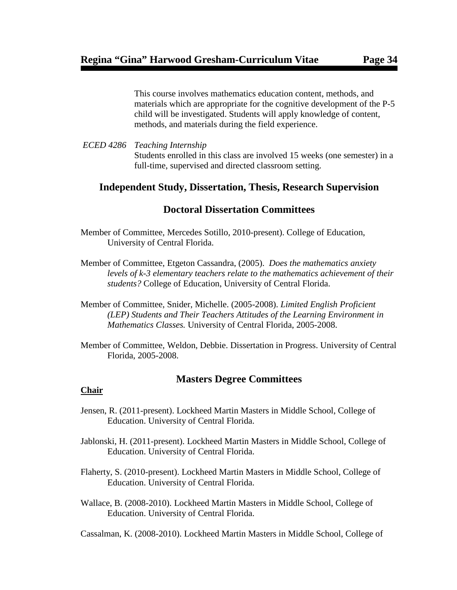This course involves mathematics education content, methods, and materials which are appropriate for the cognitive development of the P-5 child will be investigated. Students will apply knowledge of content, methods, and materials during the field experience.

*ECED 4286 Teaching Internship*  Students enrolled in this class are involved 15 weeks (one semester) in a full-time, supervised and directed classroom setting.

# **Independent Study, Dissertation, Thesis, Research Supervision**

# **Doctoral Dissertation Committees**

- Member of Committee, Mercedes Sotillo, 2010-present). College of Education, University of Central Florida.
- Member of Committee, Etgeton Cassandra, (2005). *Does the mathematics anxiety levels of k-3 elementary teachers relate to the mathematics achievement of their students?* College of Education, University of Central Florida.
- Member of Committee, Snider, Michelle. (2005-2008). *Limited English Proficient (LEP) Students and Their Teachers Attitudes of the Learning Environment in Mathematics Classes.* University of Central Florida, 2005-2008.
- Member of Committee, Weldon, Debbie. Dissertation in Progress. University of Central Florida, 2005-2008.

# **Masters Degree Committees**

#### **Chair**

- Jensen, R. (2011-present). Lockheed Martin Masters in Middle School, College of Education. University of Central Florida.
- Jablonski, H. (2011-present). Lockheed Martin Masters in Middle School, College of Education. University of Central Florida.
- Flaherty, S. (2010-present). Lockheed Martin Masters in Middle School, College of Education. University of Central Florida.
- Wallace, B. (2008-2010). Lockheed Martin Masters in Middle School, College of Education. University of Central Florida.

Cassalman, K. (2008-2010). Lockheed Martin Masters in Middle School, College of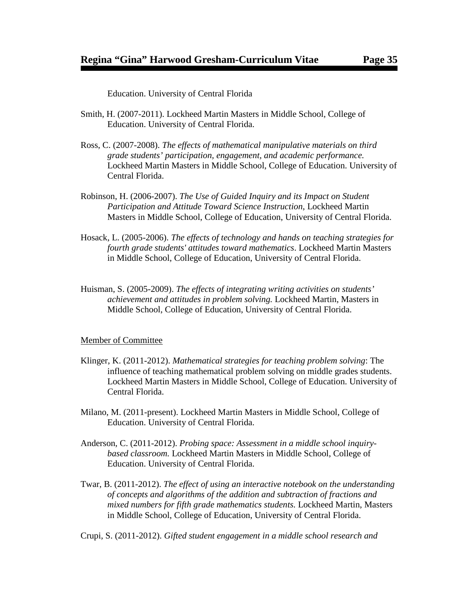Education. University of Central Florida

- Smith, H. (2007-2011). Lockheed Martin Masters in Middle School, College of Education. University of Central Florida.
- Ross, C. (2007-2008). *The effects of mathematical manipulative materials on third grade students' participation, engagement, and academic performance.* Lockheed Martin Masters in Middle School, College of Education. University of Central Florida.
- Robinson, H. (2006-2007). *The Use of Guided Inquiry and its Impact on Student Participation and Attitude Toward Science Instruction*, Lockheed Martin Masters in Middle School, College of Education, University of Central Florida.
- Hosack, L. (2005-2006). *The effects of technology and hands on teaching strategies for fourth grade students' attitudes toward mathematics*. Lockheed Martin Masters in Middle School, College of Education, University of Central Florida.
- Huisman, S. (2005-2009). *The effects of integrating writing activities on students' achievement and attitudes in problem solving.* Lockheed Martin, Masters in Middle School, College of Education, University of Central Florida.

#### Member of Committee

- Klinger, K. (2011-2012). *Mathematical strategies for teaching problem solving*: The influence of teaching mathematical problem solving on middle grades students. Lockheed Martin Masters in Middle School, College of Education. University of Central Florida.
- Milano, M. (2011-present). Lockheed Martin Masters in Middle School, College of Education. University of Central Florida.
- Anderson, C. (2011-2012). *Probing space: Assessment in a middle school inquirybased classroom.* Lockheed Martin Masters in Middle School, College of Education. University of Central Florida.
- Twar, B. (2011-2012). *The effect of using an interactive notebook on the understanding of concepts and algorithms of the addition and subtraction of fractions and mixed numbers for fifth grade mathematics students.* Lockheed Martin, Masters in Middle School, College of Education, University of Central Florida.

Crupi, S. (2011-2012). *Gifted student engagement in a middle school research and*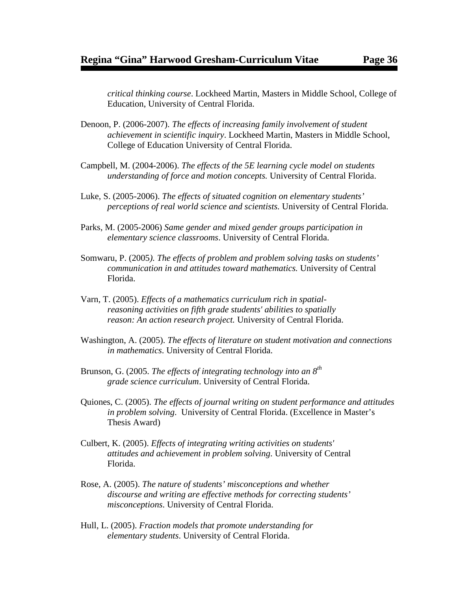*critical thinking course*. Lockheed Martin, Masters in Middle School, College of Education, University of Central Florida.

- Denoon, P. (2006-2007). *The effects of increasing family involvement of student achievement in scientific inquiry*. Lockheed Martin, Masters in Middle School, College of Education University of Central Florida.
- Campbell, M. (2004-2006). *The effects of the 5E learning cycle model on students understanding of force and motion concepts.* University of Central Florida.
- Luke, S. (2005-2006). *The effects of situated cognition on elementary students' perceptions of real world science and scientists.* University of Central Florida.
- Parks, M. (2005-2006) *Same gender and mixed gender groups participation in elementary science classrooms*. University of Central Florida.
- Somwaru, P. (2005*). The effects of problem and problem solving tasks on students' communication in and attitudes toward mathematics.* University of Central Florida.
- Varn, T. (2005). *Effects of a mathematics curriculum rich in spatialreasoning activities on fifth grade students' abilities to spatially reason: An action research project.* University of Central Florida.
- Washington, A. (2005). *The effects of literature on student motivation and connections in mathematics*. University of Central Florida.
- Brunson, G. (2005. *The effects of integrating technology into an 8th grade science curriculum*. University of Central Florida.
- Quiones, C. (2005). *The effects of journal writing on student performance and attitudes in problem solving*. University of Central Florida. (Excellence in Master's Thesis Award)
- Culbert, K. (2005). *Effects of integrating writing activities on students' attitudes and achievement in problem solving*. University of Central Florida.
- Rose, A. (2005). *The nature of students' misconceptions and whether discourse and writing are effective methods for correcting students' misconceptions*. University of Central Florida.
- Hull, L. (2005). *Fraction models that promote understanding for elementary students*. University of Central Florida.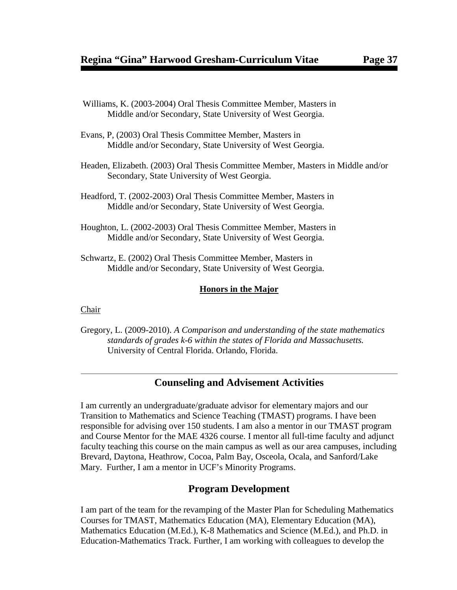- Williams, K. (2003-2004) Oral Thesis Committee Member, Masters in Middle and/or Secondary, State University of West Georgia.
- Evans, P, (2003) Oral Thesis Committee Member, Masters in Middle and/or Secondary, State University of West Georgia.
- Headen, Elizabeth. (2003) Oral Thesis Committee Member, Masters in Middle and/or Secondary, State University of West Georgia.
- Headford, T. (2002-2003) Oral Thesis Committee Member, Masters in Middle and/or Secondary, State University of West Georgia.
- Houghton, L. (2002-2003) Oral Thesis Committee Member, Masters in Middle and/or Secondary, State University of West Georgia.
- Schwartz, E. (2002) Oral Thesis Committee Member, Masters in Middle and/or Secondary, State University of West Georgia.

#### **Honors in the Major**

#### Chair

Gregory, L. (2009-2010). *A Comparison and understanding of the state mathematics standards of grades k-6 within the states of Florida and Massachusetts.* University of Central Florida. Orlando, Florida.

#### **Counseling and Advisement Activities**

I am currently an undergraduate/graduate advisor for elementary majors and our Transition to Mathematics and Science Teaching (TMAST) programs. I have been responsible for advising over 150 students. I am also a mentor in our TMAST program and Course Mentor for the MAE 4326 course. I mentor all full-time faculty and adjunct faculty teaching this course on the main campus as well as our area campuses, including Brevard, Daytona, Heathrow, Cocoa, Palm Bay, Osceola, Ocala, and Sanford/Lake Mary. Further, I am a mentor in UCF's Minority Programs.

#### **Program Development**

I am part of the team for the revamping of the Master Plan for Scheduling Mathematics Courses for TMAST, Mathematics Education (MA), Elementary Education (MA), Mathematics Education (M.Ed.), K-8 Mathematics and Science (M.Ed.), and Ph.D. in Education-Mathematics Track. Further, I am working with colleagues to develop the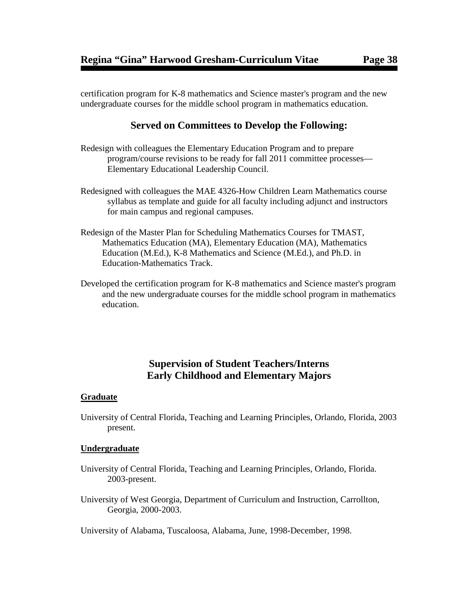certification program for K-8 mathematics and Science master's program and the new undergraduate courses for the middle school program in mathematics education.

# **Served on Committees to Develop the Following:**

- Redesign with colleagues the Elementary Education Program and to prepare program/course revisions to be ready for fall 2011 committee processes— Elementary Educational Leadership Council.
- Redesigned with colleagues the MAE 4326-How Children Learn Mathematics course syllabus as template and guide for all faculty including adjunct and instructors for main campus and regional campuses.
- Redesign of the Master Plan for Scheduling Mathematics Courses for TMAST, Mathematics Education (MA), Elementary Education (MA), Mathematics Education (M.Ed.), K-8 Mathematics and Science (M.Ed.), and Ph.D. in Education-Mathematics Track.
- Developed the certification program for K-8 mathematics and Science master's program and the new undergraduate courses for the middle school program in mathematics education.

# **Supervision of Student Teachers/Interns Early Childhood and Elementary Majors**

#### **Graduate**

University of Central Florida, Teaching and Learning Principles, Orlando, Florida, 2003 present.

#### **Undergraduate**

- University of Central Florida, Teaching and Learning Principles, Orlando, Florida. 2003-present.
- University of West Georgia, Department of Curriculum and Instruction, Carrollton, Georgia, 2000-2003.

University of Alabama, Tuscaloosa, Alabama, June, 1998-December, 1998.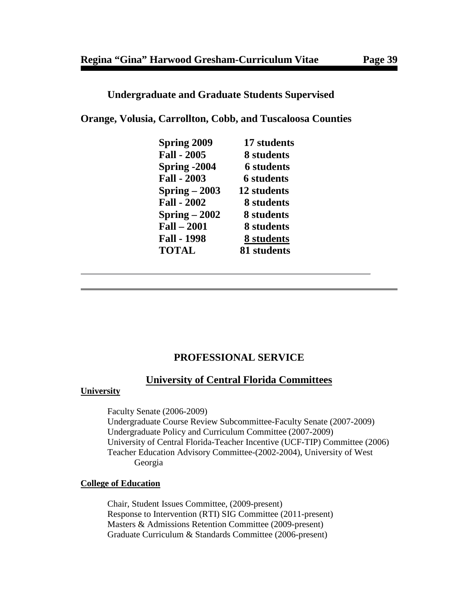#### **Undergraduate and Graduate Students Supervised**

**Orange, Volusia, Carrollton, Cobb, and Tuscaloosa Counties**

| <b>Spring 2009</b> | 17 students       |
|--------------------|-------------------|
| <b>Fall - 2005</b> | 8 students        |
| Spring -2004       | <b>6</b> students |
| <b>Fall - 2003</b> | <b>6</b> students |
| $Spring - 2003$    | 12 students       |
| <b>Fall - 2002</b> | 8 students        |
| $Spring - 2002$    | 8 students        |
| <b>Fall - 2001</b> | 8 students        |
| <b>Fall - 1998</b> | 8 students        |
| <b>TOTAL</b>       | 81 students       |

# **PROFESSIONAL SERVICE**

### **University of Central Florida Committees**

#### **University**

Faculty Senate (2006-2009) Undergraduate Course Review Subcommittee-Faculty Senate (2007-2009) Undergraduate Policy and Curriculum Committee (2007-2009) University of Central Florida-Teacher Incentive (UCF-TIP) Committee (2006) Teacher Education Advisory Committee-(2002-2004), University of West Georgia

#### **College of Education**

Chair, Student Issues Committee, (2009-present) Response to Intervention (RTI) SIG Committee (2011-present) Masters & Admissions Retention Committee (2009-present) Graduate Curriculum & Standards Committee (2006-present)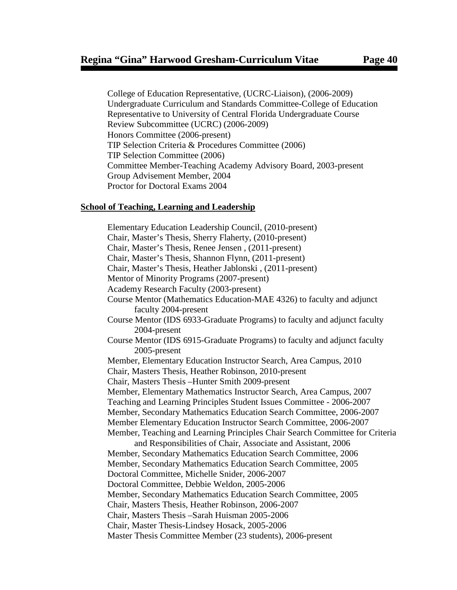College of Education Representative, (UCRC-Liaison), (2006-2009) Undergraduate Curriculum and Standards Committee-College of Education Representative to University of Central Florida Undergraduate Course Review Subcommittee (UCRC) (2006-2009) Honors Committee (2006-present) TIP Selection Criteria & Procedures Committee (2006) TIP Selection Committee (2006) Committee Member-Teaching Academy Advisory Board, 2003-present Group Advisement Member, 2004 Proctor for Doctoral Exams 2004

#### **School of Teaching, Learning and Leadership**

Elementary Education Leadership Council, (2010-present) Chair, Master's Thesis, Sherry Flaherty, (2010-present) Chair, Master's Thesis, Renee Jensen , (2011-present) Chair, Master's Thesis, Shannon Flynn, (2011-present) Chair, Master's Thesis, Heather Jablonski , (2011-present) Mentor of Minority Programs (2007-present) Academy Research Faculty (2003-present) Course Mentor (Mathematics Education-MAE 4326) to faculty and adjunct faculty 2004-present Course Mentor (IDS 6933-Graduate Programs) to faculty and adjunct faculty 2004-present Course Mentor (IDS 6915-Graduate Programs) to faculty and adjunct faculty 2005-present Member, Elementary Education Instructor Search, Area Campus, 2010 Chair, Masters Thesis, Heather Robinson, 2010-present Chair, Masters Thesis –Hunter Smith 2009-present Member, Elementary Mathematics Instructor Search, Area Campus, 2007 Teaching and Learning Principles Student Issues Committee - 2006-2007 Member, Secondary Mathematics Education Search Committee, 2006-2007 Member Elementary Education Instructor Search Committee, 2006-2007 Member, Teaching and Learning Principles Chair Search Committee for Criteria and Responsibilities of Chair, Associate and Assistant, 2006 Member, Secondary Mathematics Education Search Committee, 2006 Member, Secondary Mathematics Education Search Committee, 2005 Doctoral Committee, Michelle Snider, 2006-2007 Doctoral Committee, Debbie Weldon, 2005-2006 Member, Secondary Mathematics Education Search Committee, 2005 Chair, Masters Thesis, Heather Robinson, 2006-2007 Chair, Masters Thesis –Sarah Huisman 2005-2006 Chair, Master Thesis-Lindsey Hosack, 2005-2006 Master Thesis Committee Member (23 students), 2006-present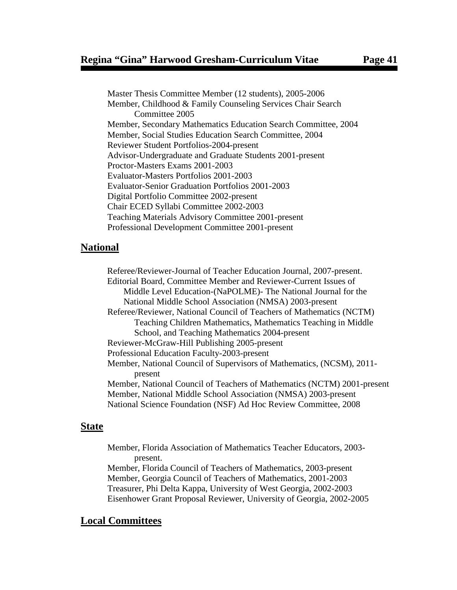Master Thesis Committee Member (12 students), 2005-2006 Member, Childhood & Family Counseling Services Chair Search Committee 2005 Member, Secondary Mathematics Education Search Committee, 2004 Member, Social Studies Education Search Committee, 2004 Reviewer Student Portfolios-2004-present Advisor-Undergraduate and Graduate Students 2001-present Proctor-Masters Exams 2001-2003 Evaluator-Masters Portfolios 2001-2003 Evaluator-Senior Graduation Portfolios 2001-2003 Digital Portfolio Committee 2002-present Chair ECED Syllabi Committee 2002-2003 Teaching Materials Advisory Committee 2001-present Professional Development Committee 2001-present

### **National**

 Referee/Reviewer-Journal of Teacher Education Journal, 2007-present. Editorial Board, Committee Member and Reviewer-Current Issues of Middle Level Education-(NaPOLME)- The National Journal for the National Middle School Association (NMSA) 2003-present Referee/Reviewer, National Council of Teachers of Mathematics (NCTM) Teaching Children Mathematics, Mathematics Teaching in Middle School, and Teaching Mathematics 2004-present Reviewer-McGraw-Hill Publishing 2005-present Professional Education Faculty-2003-present Member, National Council of Supervisors of Mathematics, (NCSM), 2011 present Member, National Council of Teachers of Mathematics (NCTM) 2001-present Member, National Middle School Association (NMSA) 2003-present National Science Foundation (NSF) Ad Hoc Review Committee, 2008

#### **State**

Member, Florida Association of Mathematics Teacher Educators, 2003 present. Member, Florida Council of Teachers of Mathematics, 2003-present Member, Georgia Council of Teachers of Mathematics, 2001-2003 Treasurer, Phi Delta Kappa, University of West Georgia, 2002-2003 Eisenhower Grant Proposal Reviewer, University of Georgia, 2002-2005

### **Local Committees**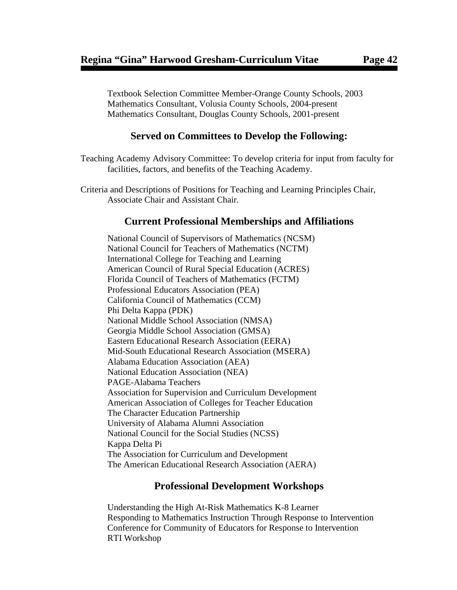# **Served on Committees to Develop the Following:**

Teaching Academy Advisory Committee: To develop criteria for input from faculty for facilities, factors, and benefits of the Teaching Academy.

Criteria and Descriptions of Positions for Teaching and Learning Principles Chair, Associate Chair and Assistant Chair.

# **Current Professional Memberships and Affiliations**

National Council of Supervisors of Mathematics (NCSM) National Council for Teachers of Mathematics (NCTM) International College for Teaching and Learning American Council of Rural Special Education (ACRES) Florida Council of Teachers of Mathematics (FCTM) Professional Educators Association (PEA) California Council of Mathematics (CCM) Phi Delta Kappa (PDK) National Middle School Association (NMSA) Georgia Middle School Association (GMSA) Eastern Educational Research Association (EERA) Mid-South Educational Research Association (MSERA) Alabama Education Association (AEA) National Education Association (NEA) PAGE-Alabama Teachers Association for Supervision and Curriculum Development American Association of Colleges for Teacher Education The Character Education Partnership University of Alabama Alumni Association National Council for the Social Studies (NCSS) Kappa Delta Pi The Association for Curriculum and Development The American Educational Research Association (AERA)

# **Professional Development Workshops**

Understanding the High At-Risk Mathematics K-8 Learner Responding to Mathematics Instruction Through Response to Intervention Conference for Community of Educators for Response to Intervention RTI Workshop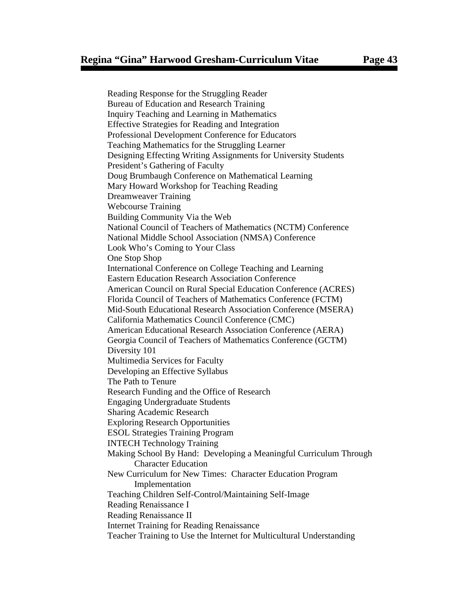Reading Response for the Struggling Reader Bureau of Education and Research Training Inquiry Teaching and Learning in Mathematics Effective Strategies for Reading and Integration Professional Development Conference for Educators Teaching Mathematics for the Struggling Learner Designing Effecting Writing Assignments for University Students President's Gathering of Faculty Doug Brumbaugh Conference on Mathematical Learning Mary Howard Workshop for Teaching Reading Dreamweaver Training Webcourse Training Building Community Via the Web National Council of Teachers of Mathematics (NCTM) Conference National Middle School Association (NMSA) Conference Look Who's Coming to Your Class One Stop Shop International Conference on College Teaching and Learning Eastern Education Research Association Conference American Council on Rural Special Education Conference (ACRES) Florida Council of Teachers of Mathematics Conference (FCTM) Mid-South Educational Research Association Conference (MSERA) California Mathematics Council Conference (CMC) American Educational Research Association Conference (AERA) Georgia Council of Teachers of Mathematics Conference (GCTM) Diversity 101 Multimedia Services for Faculty Developing an Effective Syllabus The Path to Tenure Research Funding and the Office of Research Engaging Undergraduate Students Sharing Academic Research Exploring Research Opportunities ESOL Strategies Training Program INTECH Technology Training Making School By Hand: Developing a Meaningful Curriculum Through Character Education New Curriculum for New Times: Character Education Program Implementation Teaching Children Self-Control/Maintaining Self-Image Reading Renaissance I Reading Renaissance II Internet Training for Reading Renaissance Teacher Training to Use the Internet for Multicultural Understanding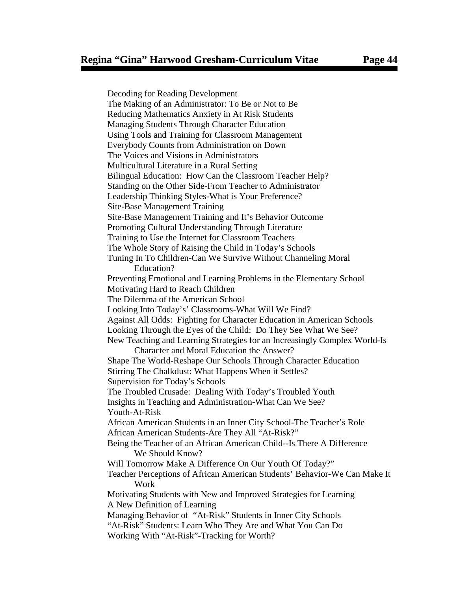Decoding for Reading Development The Making of an Administrator: To Be or Not to Be Reducing Mathematics Anxiety in At Risk Students Managing Students Through Character Education Using Tools and Training for Classroom Management Everybody Counts from Administration on Down The Voices and Visions in Administrators Multicultural Literature in a Rural Setting Bilingual Education: How Can the Classroom Teacher Help? Standing on the Other Side-From Teacher to Administrator Leadership Thinking Styles-What is Your Preference? Site-Base Management Training Site-Base Management Training and It's Behavior Outcome Promoting Cultural Understanding Through Literature Training to Use the Internet for Classroom Teachers The Whole Story of Raising the Child in Today's Schools Tuning In To Children-Can We Survive Without Channeling Moral Education? Preventing Emotional and Learning Problems in the Elementary School Motivating Hard to Reach Children The Dilemma of the American School Looking Into Today's' Classrooms-What Will We Find? Against All Odds: Fighting for Character Education in American Schools Looking Through the Eyes of the Child: Do They See What We See? New Teaching and Learning Strategies for an Increasingly Complex World-Is Character and Moral Education the Answer? Shape The World-Reshape Our Schools Through Character Education Stirring The Chalkdust: What Happens When it Settles? Supervision for Today's Schools The Troubled Crusade: Dealing With Today's Troubled Youth Insights in Teaching and Administration-What Can We See? Youth-At-Risk African American Students in an Inner City School-The Teacher's Role African American Students-Are They All "At-Risk?" Being the Teacher of an African American Child--Is There A Difference We Should Know? Will Tomorrow Make A Difference On Our Youth Of Today?" Teacher Perceptions of African American Students' Behavior-We Can Make It Work Motivating Students with New and Improved Strategies for Learning A New Definition of Learning Managing Behavior of "At-Risk" Students in Inner City Schools "At-Risk" Students: Learn Who They Are and What You Can Do Working With "At-Risk"-Tracking for Worth?